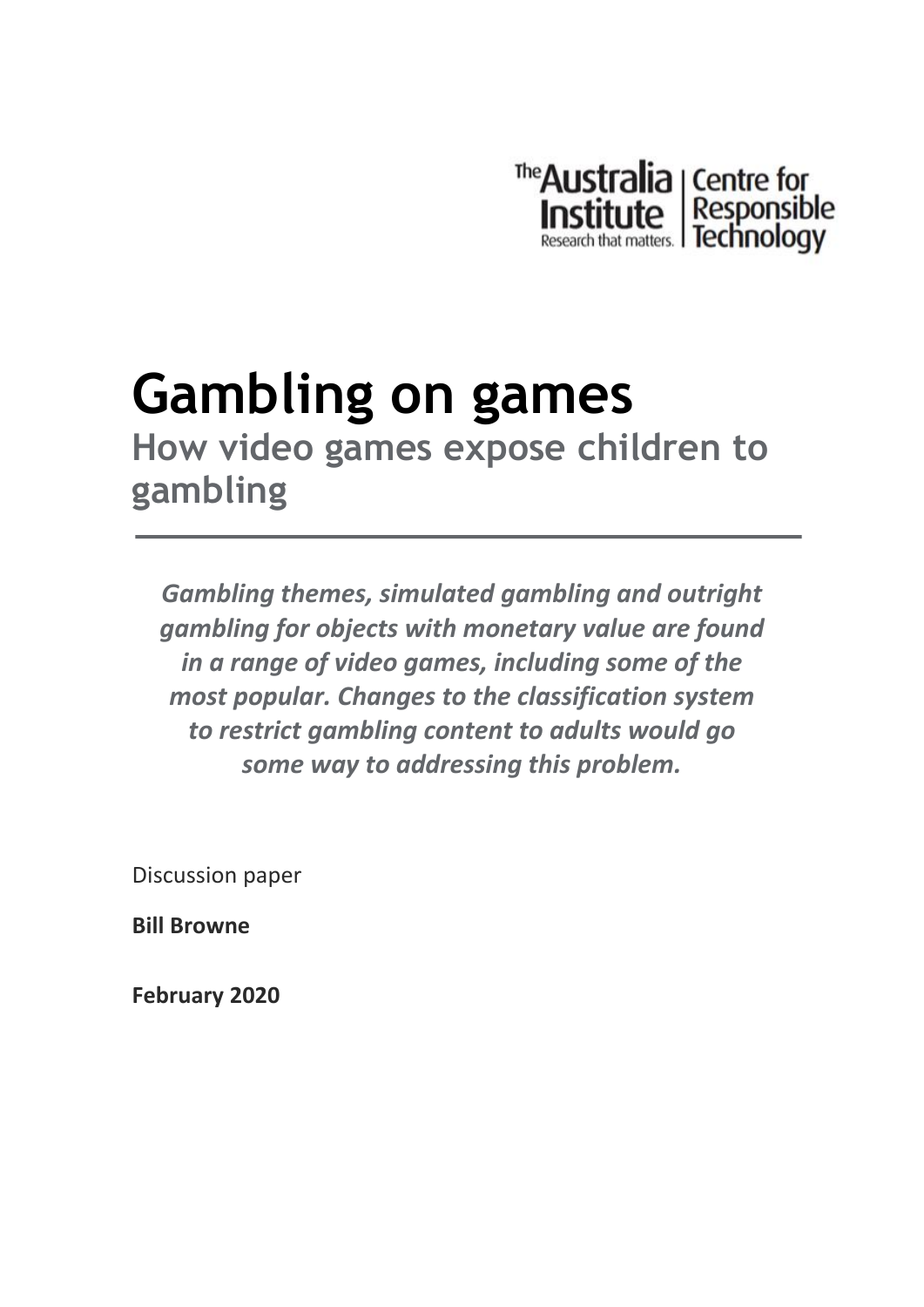

### **Gambling on games How video games expose children to gambling**

*Gambling themes, simulated gambling and outright gambling for objects with monetary value are found in a range of video games, including some of the most popular. Changes to the classification system to restrict gambling content to adults would go some way to addressing this problem.* 

Discussion paper

**Bill Browne**

**February 2020**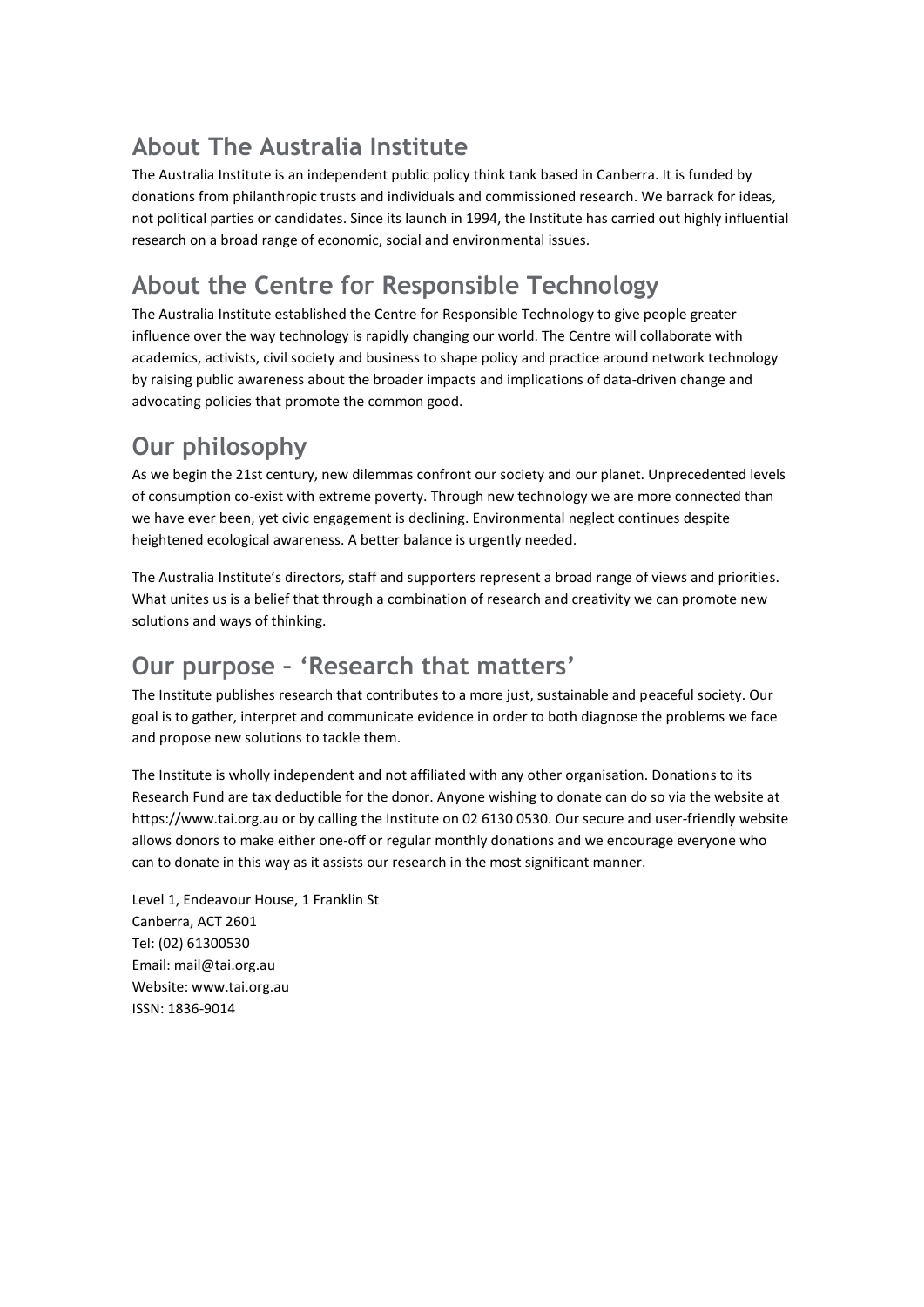### **About The Australia Institute**

The Australia Institute is an independent public policy think tank based in Canberra. It is funded by donations from philanthropic trusts and individuals and commissioned research. We barrack for ideas, not political parties or candidates. Since its launch in 1994, the Institute has carried out highly influential research on a broad range of economic, social and environmental issues.

### **About the Centre for Responsible Technology**

The Australia Institute established the Centre for Responsible Technology to give people greater influence over the way technology is rapidly changing our world. The Centre will collaborate with academics, activists, civil society and business to shape policy and practice around network technology by raising public awareness about the broader impacts and implications of data-driven change and advocating policies that promote the common good.

### **Our philosophy**

As we begin the 21st century, new dilemmas confront our society and our planet. Unprecedented levels of consumption co-exist with extreme poverty. Through new technology we are more connected than we have ever been, yet civic engagement is declining. Environmental neglect continues despite heightened ecological awareness. A better balance is urgently needed.

The Australia Institute's directors, staff and supporters represent a broad range of views and priorities. What unites us is a belief that through a combination of research and creativity we can promote new solutions and ways of thinking.

#### **Our purpose – 'Research that matters'**

The Institute publishes research that contributes to a more just, sustainable and peaceful society. Our goal is to gather, interpret and communicate evidence in order to both diagnose the problems we face and propose new solutions to tackle them.

The Institute is wholly independent and not affiliated with any other organisation. Donations to its Research Fund are tax deductible for the donor. Anyone wishing to donate can do so via the website at https://www.tai.org.au or by calling the Institute on 02 6130 0530. Our secure and user-friendly website allows donors to make either one-off or regular monthly donations and we encourage everyone who can to donate in this way as it assists our research in the most significant manner.

Level 1, Endeavour House, 1 Franklin St Canberra, ACT 2601 Tel: (02) 61300530 Email: [mail@tai.org.au](mailto:mail@tai.org.au) Website: www.tai.org.au ISSN: 1836-9014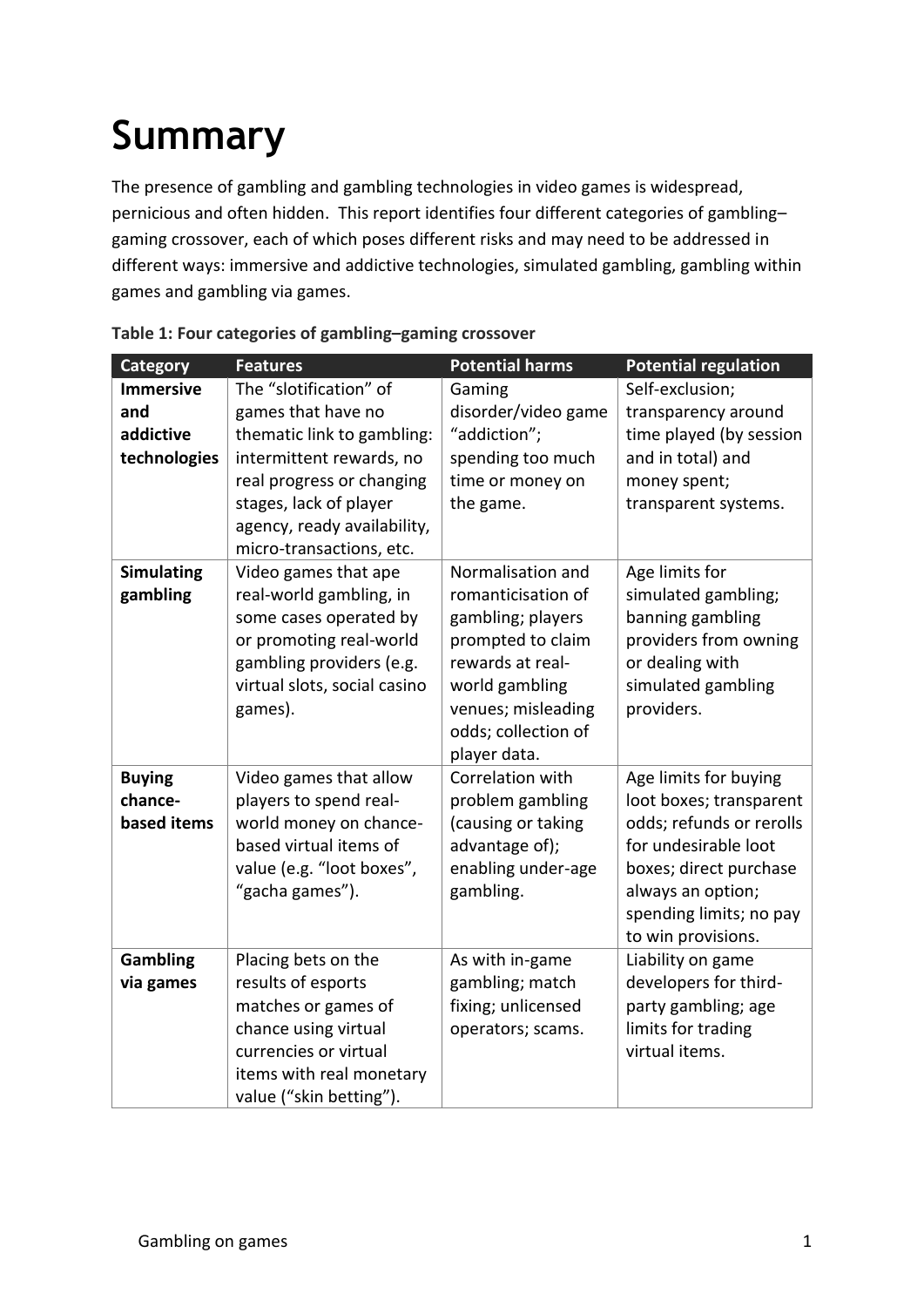# **Summary**

The presence of gambling and gambling technologies in video games is widespread, pernicious and often hidden. This report identifies four different categories of gambling– gaming crossover, each of which poses different risks and may need to be addressed in different ways: immersive and addictive technologies, simulated gambling, gambling within games and gambling via games.

| <b>Category</b>                                      | <b>Features</b>                                                                                                                                                                                         | <b>Potential harms</b>                                                                                                                                               | <b>Potential regulation</b>                                                                                                                                                                          |
|------------------------------------------------------|---------------------------------------------------------------------------------------------------------------------------------------------------------------------------------------------------------|----------------------------------------------------------------------------------------------------------------------------------------------------------------------|------------------------------------------------------------------------------------------------------------------------------------------------------------------------------------------------------|
| <b>Immersive</b><br>and<br>addictive<br>technologies | The "slotification" of<br>games that have no<br>thematic link to gambling:<br>intermittent rewards, no<br>real progress or changing<br>stages, lack of player<br>agency, ready availability,            | Gaming<br>disorder/video game<br>"addiction";<br>spending too much<br>time or money on<br>the game.                                                                  | Self-exclusion;<br>transparency around<br>time played (by session<br>and in total) and<br>money spent;<br>transparent systems.                                                                       |
| <b>Simulating</b><br>gambling                        | micro-transactions, etc.<br>Video games that ape<br>real-world gambling, in<br>some cases operated by<br>or promoting real-world<br>gambling providers (e.g.<br>virtual slots, social casino<br>games). | Normalisation and<br>romanticisation of<br>gambling; players<br>prompted to claim<br>rewards at real-<br>world gambling<br>venues; misleading<br>odds; collection of | Age limits for<br>simulated gambling;<br>banning gambling<br>providers from owning<br>or dealing with<br>simulated gambling<br>providers.                                                            |
| <b>Buying</b><br>chance-<br>based items              | Video games that allow<br>players to spend real-<br>world money on chance-<br>based virtual items of<br>value (e.g. "loot boxes",<br>"gacha games").                                                    | player data.<br>Correlation with<br>problem gambling<br>(causing or taking<br>advantage of);<br>enabling under-age<br>gambling.                                      | Age limits for buying<br>loot boxes; transparent<br>odds; refunds or rerolls<br>for undesirable loot<br>boxes; direct purchase<br>always an option;<br>spending limits; no pay<br>to win provisions. |
| <b>Gambling</b><br>via games                         | Placing bets on the<br>results of esports<br>matches or games of<br>chance using virtual<br>currencies or virtual<br>items with real monetary<br>value ("skin betting").                                | As with in-game<br>gambling; match<br>fixing; unlicensed<br>operators; scams.                                                                                        | Liability on game<br>developers for third-<br>party gambling; age<br>limits for trading<br>virtual items.                                                                                            |

| Table 1: Four categories of gambling-gaming crossover |  |  |  |  |  |
|-------------------------------------------------------|--|--|--|--|--|
|-------------------------------------------------------|--|--|--|--|--|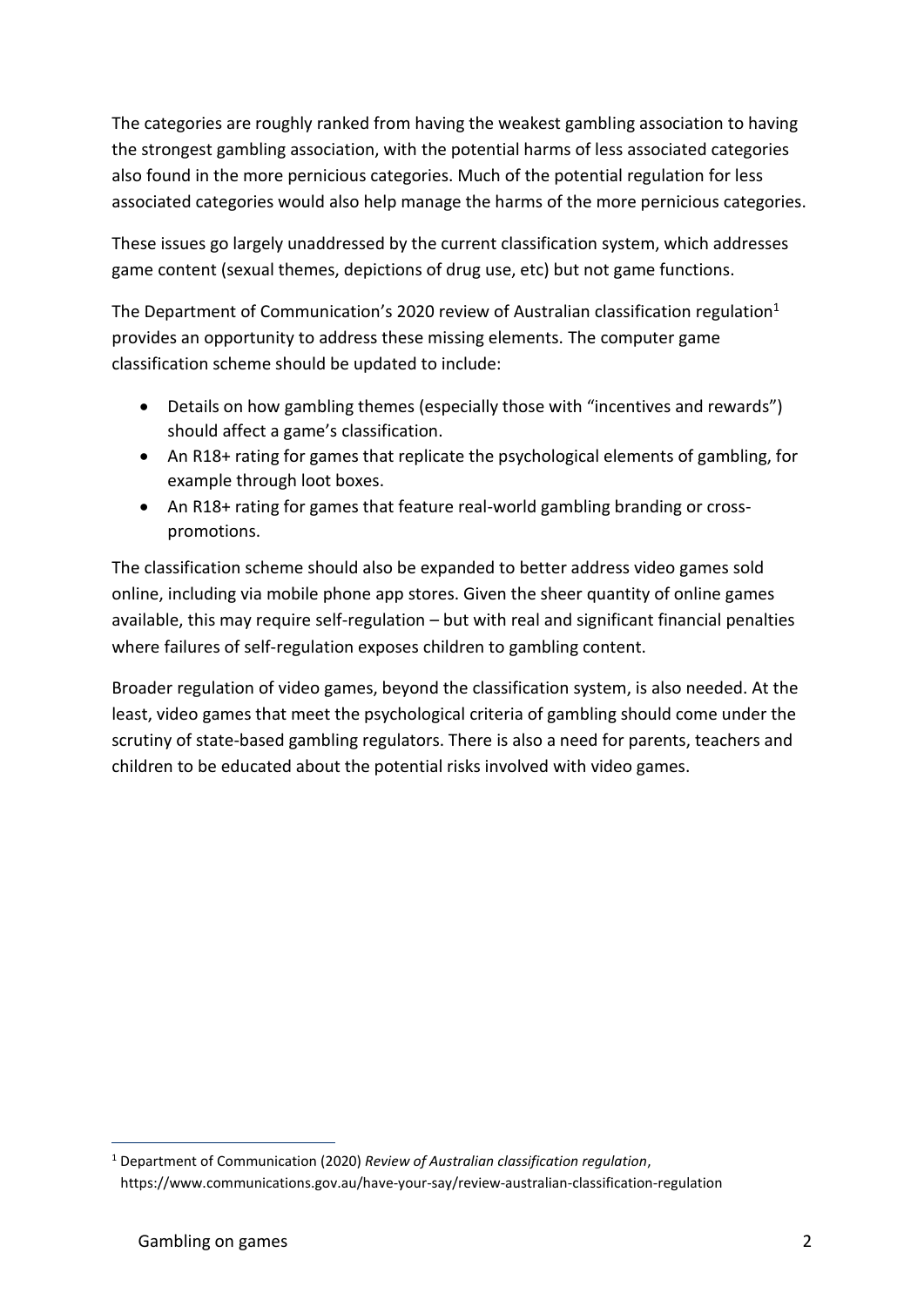The categories are roughly ranked from having the weakest gambling association to having the strongest gambling association, with the potential harms of less associated categories also found in the more pernicious categories. Much of the potential regulation for less associated categories would also help manage the harms of the more pernicious categories.

These issues go largely unaddressed by the current classification system, which addresses game content (sexual themes, depictions of drug use, etc) but not game functions.

The Department of Communication's 2020 review of Australian classification regulation $1$ provides an opportunity to address these missing elements. The computer game classification scheme should be updated to include:

- Details on how gambling themes (especially those with "incentives and rewards") should affect a game's classification.
- An R18+ rating for games that replicate the psychological elements of gambling, for example through loot boxes.
- An R18+ rating for games that feature real-world gambling branding or crosspromotions.

The classification scheme should also be expanded to better address video games sold online, including via mobile phone app stores. Given the sheer quantity of online games available, this may require self-regulation – but with real and significant financial penalties where failures of self-regulation exposes children to gambling content.

Broader regulation of video games, beyond the classification system, is also needed. At the least, video games that meet the psychological criteria of gambling should come under the scrutiny of state-based gambling regulators. There is also a need for parents, teachers and children to be educated about the potential risks involved with video games.

<sup>1</sup> Department of Communication (2020) *Review of Australian classification regulation*, https://www.communications.gov.au/have-your-say/review-australian-classification-regulation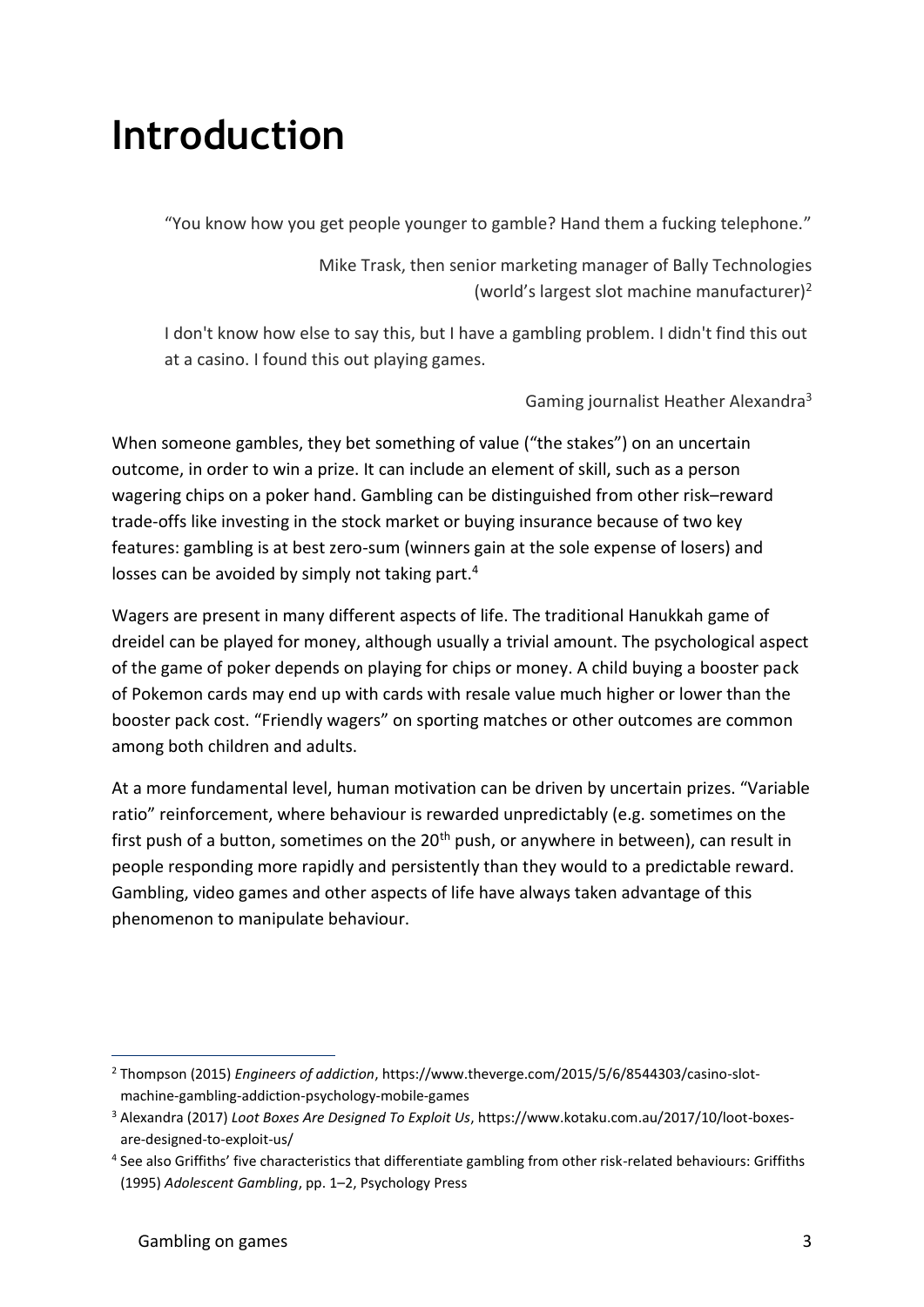### **Introduction**

"You know how you get people younger to gamble? Hand them a fucking telephone."

Mike Trask, then senior marketing manager of Bally Technologies (world's largest slot machine manufacturer)<sup>2</sup>

I don't know how else to say this, but I have a gambling problem. I didn't find this out at a casino. I found this out playing games.

Gaming journalist Heather Alexandra<sup>3</sup>

When someone gambles, they bet something of value ("the stakes") on an uncertain outcome, in order to win a prize. It can include an element of skill, such as a person wagering chips on a poker hand. Gambling can be distinguished from other risk–reward trade-offs like investing in the stock market or buying insurance because of two key features: gambling is at best zero-sum (winners gain at the sole expense of losers) and losses can be avoided by simply not taking part.<sup>4</sup>

Wagers are present in many different aspects of life. The traditional Hanukkah game of dreidel can be played for money, although usually a trivial amount. The psychological aspect of the game of poker depends on playing for chips or money. A child buying a booster pack of Pokemon cards may end up with cards with resale value much higher or lower than the booster pack cost. "Friendly wagers" on sporting matches or other outcomes are common among both children and adults.

At a more fundamental level, human motivation can be driven by uncertain prizes. "Variable ratio" reinforcement, where behaviour is rewarded unpredictably (e.g. sometimes on the first push of a button, sometimes on the  $20<sup>th</sup>$  push, or anywhere in between), can result in people responding more rapidly and persistently than they would to a predictable reward. Gambling, video games and other aspects of life have always taken advantage of this phenomenon to manipulate behaviour.

<sup>2</sup> Thompson (2015) *Engineers of addiction*, https://www.theverge.com/2015/5/6/8544303/casino-slotmachine-gambling-addiction-psychology-mobile-games

<sup>3</sup> Alexandra (2017) *Loot Boxes Are Designed To Exploit Us*, https://www.kotaku.com.au/2017/10/loot-boxesare-designed-to-exploit-us/

<sup>4</sup> See also Griffiths' five characteristics that differentiate gambling from other risk-related behaviours: Griffiths (1995) *Adolescent Gambling*, pp. 1–2, Psychology Press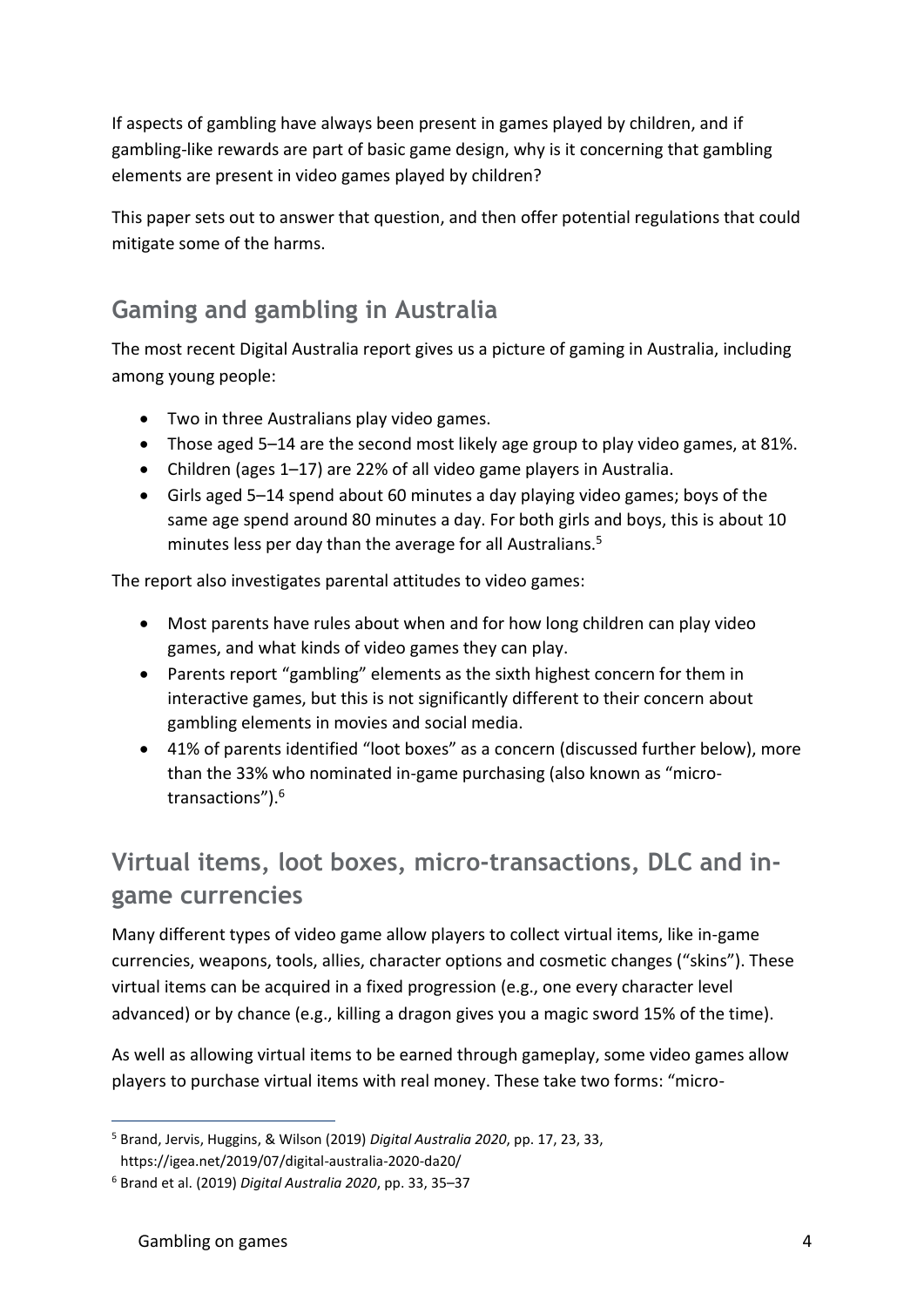If aspects of gambling have always been present in games played by children, and if gambling-like rewards are part of basic game design, why is it concerning that gambling elements are present in video games played by children?

This paper sets out to answer that question, and then offer potential regulations that could mitigate some of the harms.

### **Gaming and gambling in Australia**

The most recent Digital Australia report gives us a picture of gaming in Australia, including among young people:

- Two in three Australians play video games.
- Those aged 5–14 are the second most likely age group to play video games, at 81%.
- Children (ages 1–17) are 22% of all video game players in Australia.
- Girls aged 5–14 spend about 60 minutes a day playing video games; boys of the same age spend around 80 minutes a day. For both girls and boys, this is about 10 minutes less per day than the average for all Australians.<sup>5</sup>

The report also investigates parental attitudes to video games:

- Most parents have rules about when and for how long children can play video games, and what kinds of video games they can play.
- Parents report "gambling" elements as the sixth highest concern for them in interactive games, but this is not significantly different to their concern about gambling elements in movies and social media.
- 41% of parents identified "loot boxes" as a concern (discussed further below), more than the 33% who nominated in-game purchasing (also known as "microtransactions").<sup>6</sup>

### **Virtual items, loot boxes, micro-transactions, DLC and ingame currencies**

Many different types of video game allow players to collect virtual items, like in-game currencies, weapons, tools, allies, character options and cosmetic changes ("skins"). These virtual items can be acquired in a fixed progression (e.g., one every character level advanced) or by chance (e.g., killing a dragon gives you a magic sword 15% of the time).

As well as allowing virtual items to be earned through gameplay, some video games allow players to purchase virtual items with real money. These take two forms: "micro-

<sup>5</sup> Brand, Jervis, Huggins, & Wilson (2019) *Digital Australia 2020*, pp. 17, 23, 33, https://igea.net/2019/07/digital-australia-2020-da20/

<sup>6</sup> Brand et al. (2019) *Digital Australia 2020*, pp. 33, 35–37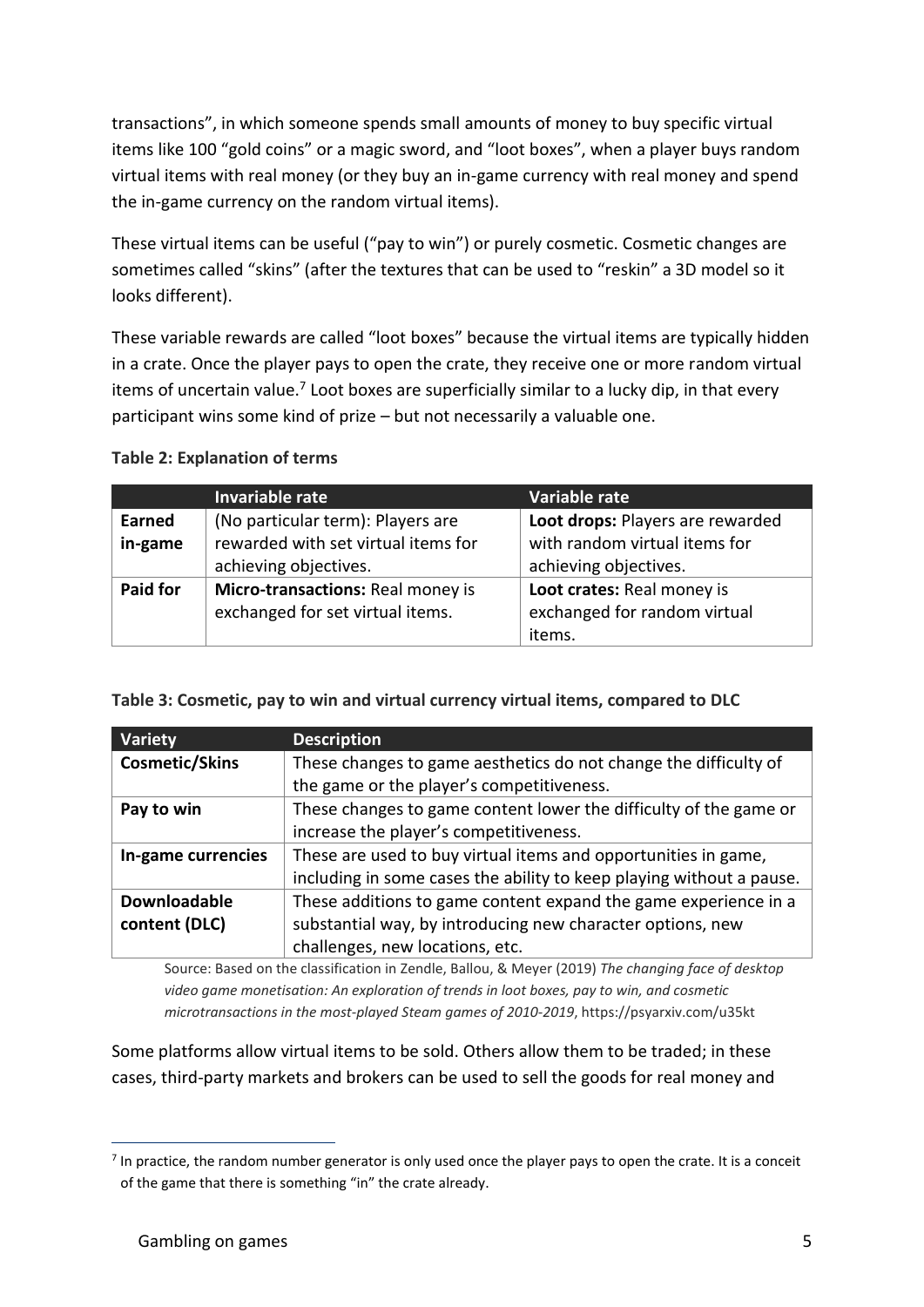transactions", in which someone spends small amounts of money to buy specific virtual items like 100 "gold coins" or a magic sword, and "loot boxes", when a player buys random virtual items with real money (or they buy an in-game currency with real money and spend the in-game currency on the random virtual items).

These virtual items can be useful ("pay to win") or purely cosmetic. Cosmetic changes are sometimes called "skins" (after the textures that can be used to "reskin" a 3D model so it looks different).

These variable rewards are called "loot boxes" because the virtual items are typically hidden in a crate. Once the player pays to open the crate, they receive one or more random virtual items of uncertain value.<sup>7</sup> Loot boxes are superficially similar to a lucky dip, in that every participant wins some kind of prize – but not necessarily a valuable one.

#### **Table 2: Explanation of terms**

|               | Invariable rate                     | Variable rate                    |
|---------------|-------------------------------------|----------------------------------|
| <b>Earned</b> | (No particular term): Players are   | Loot drops: Players are rewarded |
| in-game       | rewarded with set virtual items for | with random virtual items for    |
|               | achieving objectives.               | achieving objectives.            |
| Paid for      | Micro-transactions: Real money is   | Loot crates: Real money is       |
|               | exchanged for set virtual items.    | exchanged for random virtual     |
|               |                                     | items.                           |

#### **Table 3: Cosmetic, pay to win and virtual currency virtual items, compared to DLC**

| Variety               | <b>Description</b>                                                   |
|-----------------------|----------------------------------------------------------------------|
| <b>Cosmetic/Skins</b> | These changes to game aesthetics do not change the difficulty of     |
|                       | the game or the player's competitiveness.                            |
| Pay to win            | These changes to game content lower the difficulty of the game or    |
|                       | increase the player's competitiveness.                               |
| In-game currencies    | These are used to buy virtual items and opportunities in game,       |
|                       | including in some cases the ability to keep playing without a pause. |
| <b>Downloadable</b>   | These additions to game content expand the game experience in a      |
| content (DLC)         | substantial way, by introducing new character options, new           |
|                       | challenges, new locations, etc.                                      |

Source: Based on the classification in Zendle, Ballou, & Meyer (2019) *The changing face of desktop video game monetisation: An exploration of trends in loot boxes, pay to win, and cosmetic microtransactions in the most-played Steam games of 2010-2019*, https://psyarxiv.com/u35kt

Some platforms allow virtual items to be sold. Others allow them to be traded; in these cases, third-party markets and brokers can be used to sell the goods for real money and

 $<sup>7</sup>$  In practice, the random number generator is only used once the player pays to open the crate. It is a conceit</sup> of the game that there is something "in" the crate already.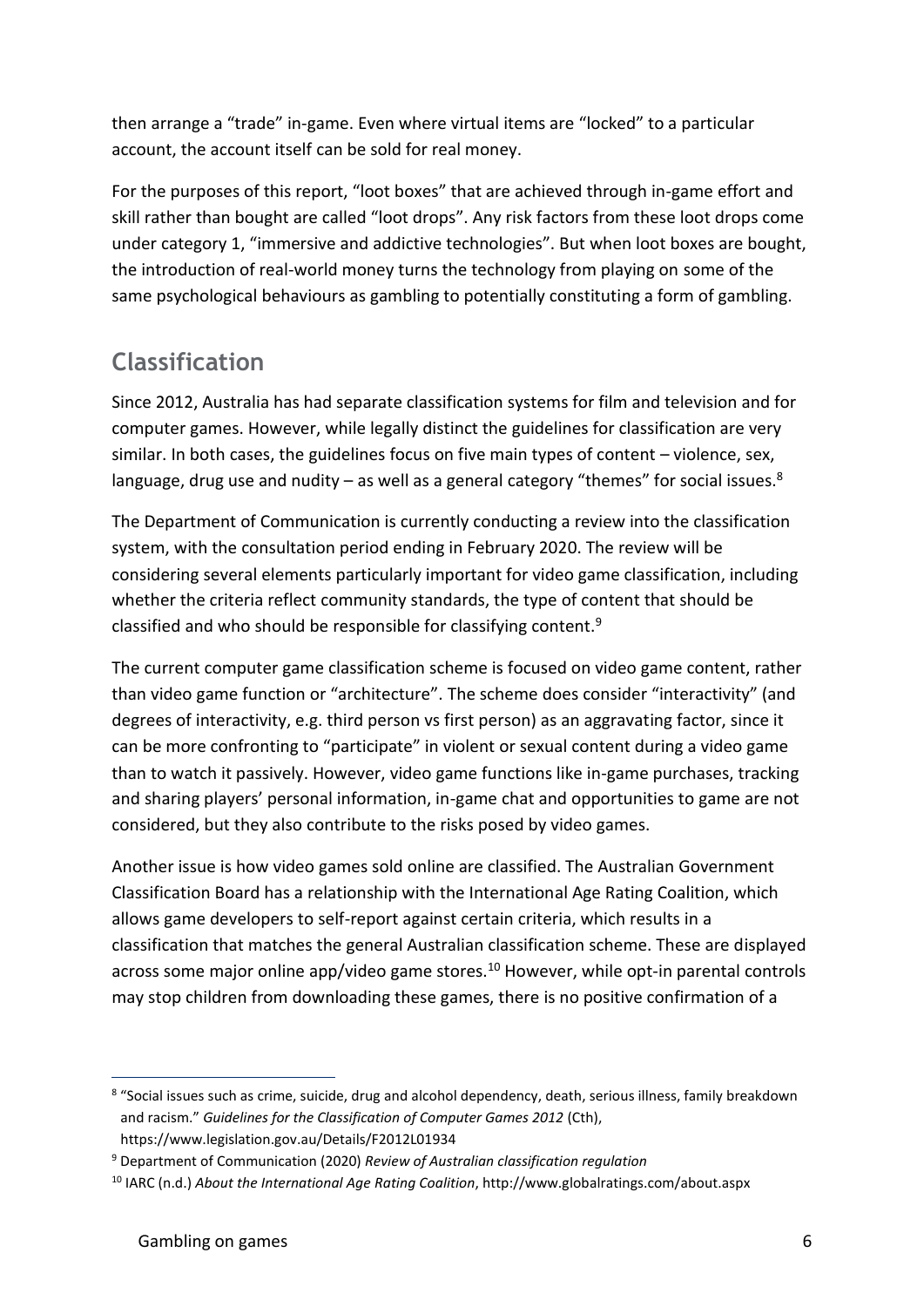then arrange a "trade" in-game. Even where virtual items are "locked" to a particular account, the account itself can be sold for real money.

For the purposes of this report, "loot boxes" that are achieved through in-game effort and skill rather than bought are called "loot drops". Any risk factors from these loot drops come under category 1, "immersive and addictive technologies". But when loot boxes are bought, the introduction of real-world money turns the technology from playing on some of the same psychological behaviours as gambling to potentially constituting a form of gambling.

#### **Classification**

Since 2012, Australia has had separate classification systems for film and television and for computer games. However, while legally distinct the guidelines for classification are very similar. In both cases, the guidelines focus on five main types of content – violence, sex, language, drug use and nudity  $-$  as well as a general category "themes" for social issues. $8$ 

The Department of Communication is currently conducting a review into the classification system, with the consultation period ending in February 2020. The review will be considering several elements particularly important for video game classification, including whether the criteria reflect community standards, the type of content that should be classified and who should be responsible for classifying content.<sup>9</sup>

The current computer game classification scheme is focused on video game content, rather than video game function or "architecture". The scheme does consider "interactivity" (and degrees of interactivity, e.g. third person vs first person) as an aggravating factor, since it can be more confronting to "participate" in violent or sexual content during a video game than to watch it passively. However, video game functions like in-game purchases, tracking and sharing players' personal information, in-game chat and opportunities to game are not considered, but they also contribute to the risks posed by video games.

Another issue is how video games sold online are classified. The Australian Government Classification Board has a relationship with the International Age Rating Coalition, which allows game developers to self-report against certain criteria, which results in a classification that matches the general Australian classification scheme. These are displayed across some major online app/video game stores.<sup>10</sup> However, while opt-in parental controls may stop children from downloading these games, there is no positive confirmation of a

<sup>&</sup>lt;sup>8</sup> "Social issues such as crime, suicide, drug and alcohol dependency, death, serious illness, family breakdown and racism." *Guidelines for the Classification of Computer Games 2012* (Cth), https://www.legislation.gov.au/Details/F2012L01934

<sup>9</sup> Department of Communication (2020) *Review of Australian classification regulation*

<sup>10</sup> IARC (n.d.) *About the International Age Rating Coalition*, http://www.globalratings.com/about.aspx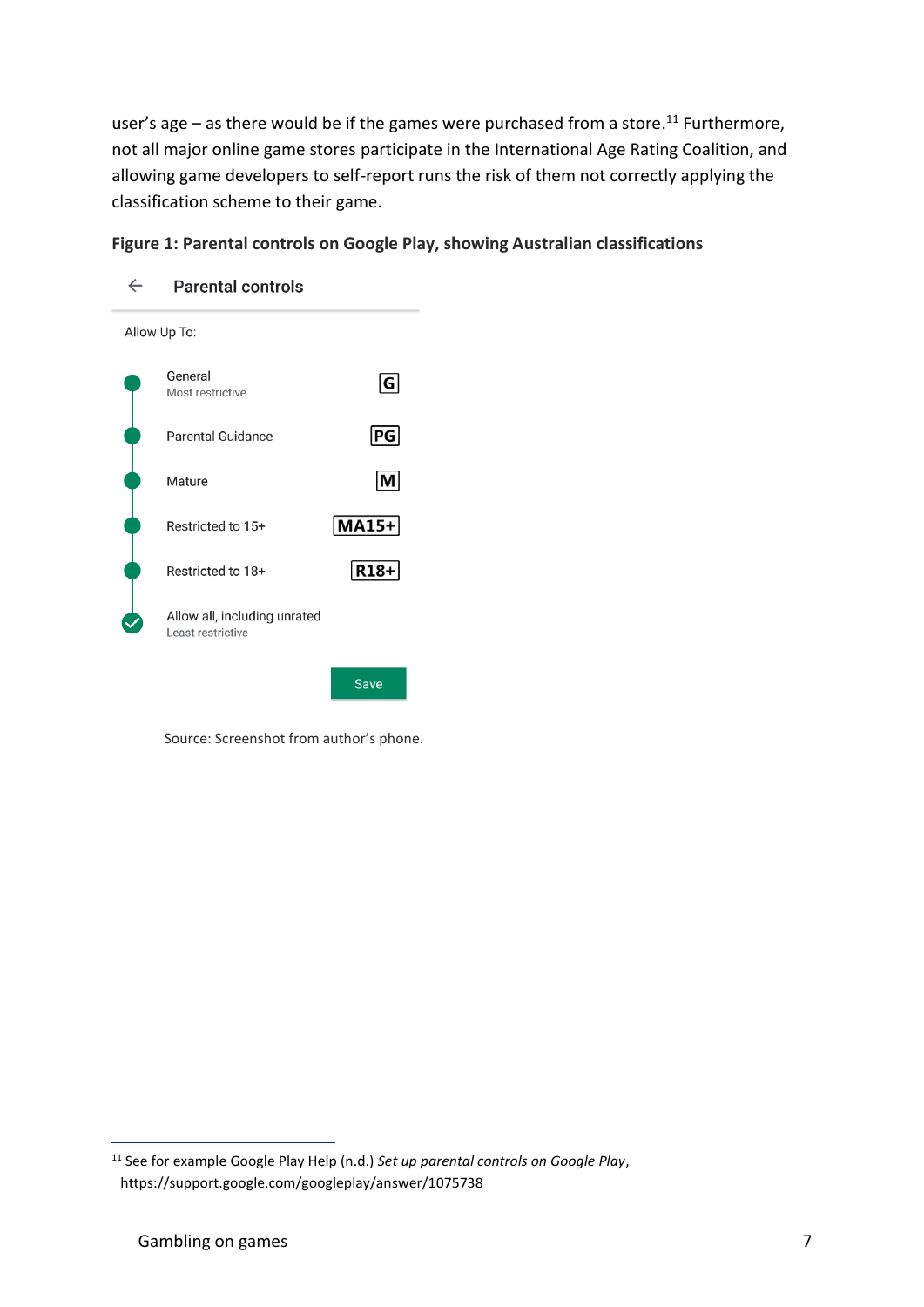user's age – as there would be if the games were purchased from a store.<sup>11</sup> Furthermore, not all major online game stores participate in the International Age Rating Coalition, and allowing game developers to self-report runs the risk of them not correctly applying the classification scheme to their game.

#### **Figure 1: Parental controls on Google Play, showing Australian classifications**



Source: Screenshot from author's phone.

<sup>11</sup> See for example Google Play Help (n.d.) *Set up parental controls on Google Play*, https://support.google.com/googleplay/answer/1075738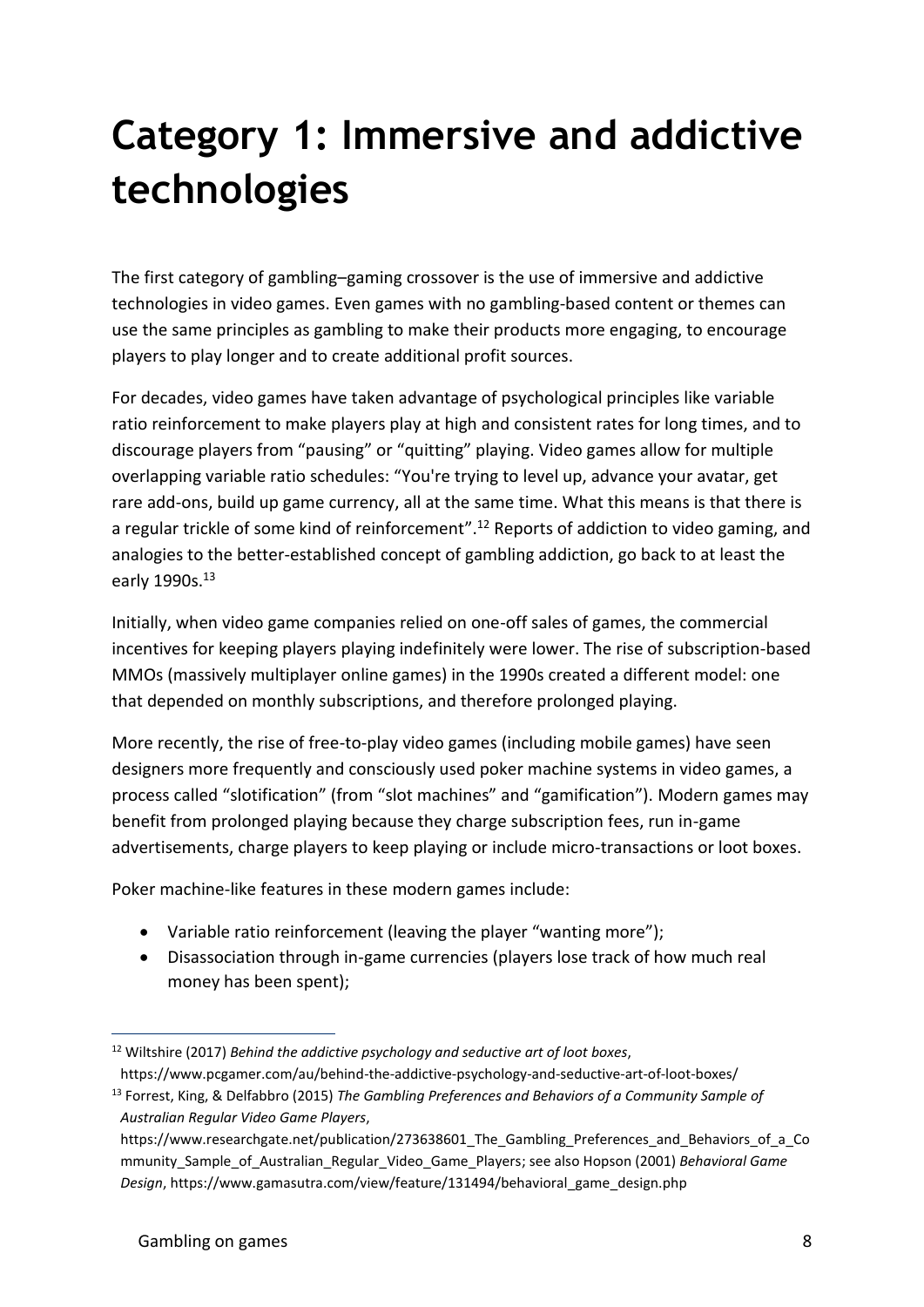# **Category 1: Immersive and addictive technologies**

The first category of gambling–gaming crossover is the use of immersive and addictive technologies in video games. Even games with no gambling-based content or themes can use the same principles as gambling to make their products more engaging, to encourage players to play longer and to create additional profit sources.

For decades, video games have taken advantage of psychological principles like variable ratio reinforcement to make players play at high and consistent rates for long times, and to discourage players from "pausing" or "quitting" playing. Video games allow for multiple overlapping variable ratio schedules: "You're trying to level up, advance your avatar, get rare add-ons, build up game currency, all at the same time. What this means is that there is a regular trickle of some kind of reinforcement".<sup>12</sup> Reports of addiction to video gaming, and analogies to the better-established concept of gambling addiction, go back to at least the early 1990s.<sup>13</sup>

Initially, when video game companies relied on one-off sales of games, the commercial incentives for keeping players playing indefinitely were lower. The rise of subscription-based MMOs (massively multiplayer online games) in the 1990s created a different model: one that depended on monthly subscriptions, and therefore prolonged playing.

More recently, the rise of free-to-play video games (including mobile games) have seen designers more frequently and consciously used poker machine systems in video games, a process called "slotification" (from "slot machines" and "gamification"). Modern games may benefit from prolonged playing because they charge subscription fees, run in-game advertisements, charge players to keep playing or include micro-transactions or loot boxes.

Poker machine-like features in these modern games include:

- Variable ratio reinforcement (leaving the player "wanting more");
- Disassociation through in-game currencies (players lose track of how much real money has been spent);

<sup>12</sup> Wiltshire (2017) *Behind the addictive psychology and seductive art of loot boxes*, https://www.pcgamer.com/au/behind-the-addictive-psychology-and-seductive-art-of-loot-boxes/

<sup>13</sup> Forrest, King, & Delfabbro (2015) *The Gambling Preferences and Behaviors of a Community Sample of Australian Regular Video Game Players*,

https://www.researchgate.net/publication/273638601\_The\_Gambling\_Preferences\_and\_Behaviors\_of\_a\_Co mmunity\_Sample\_of\_Australian\_Regular\_Video\_Game\_Players; see also Hopson (2001) *Behavioral Game Design*, https://www.gamasutra.com/view/feature/131494/behavioral\_game\_design.php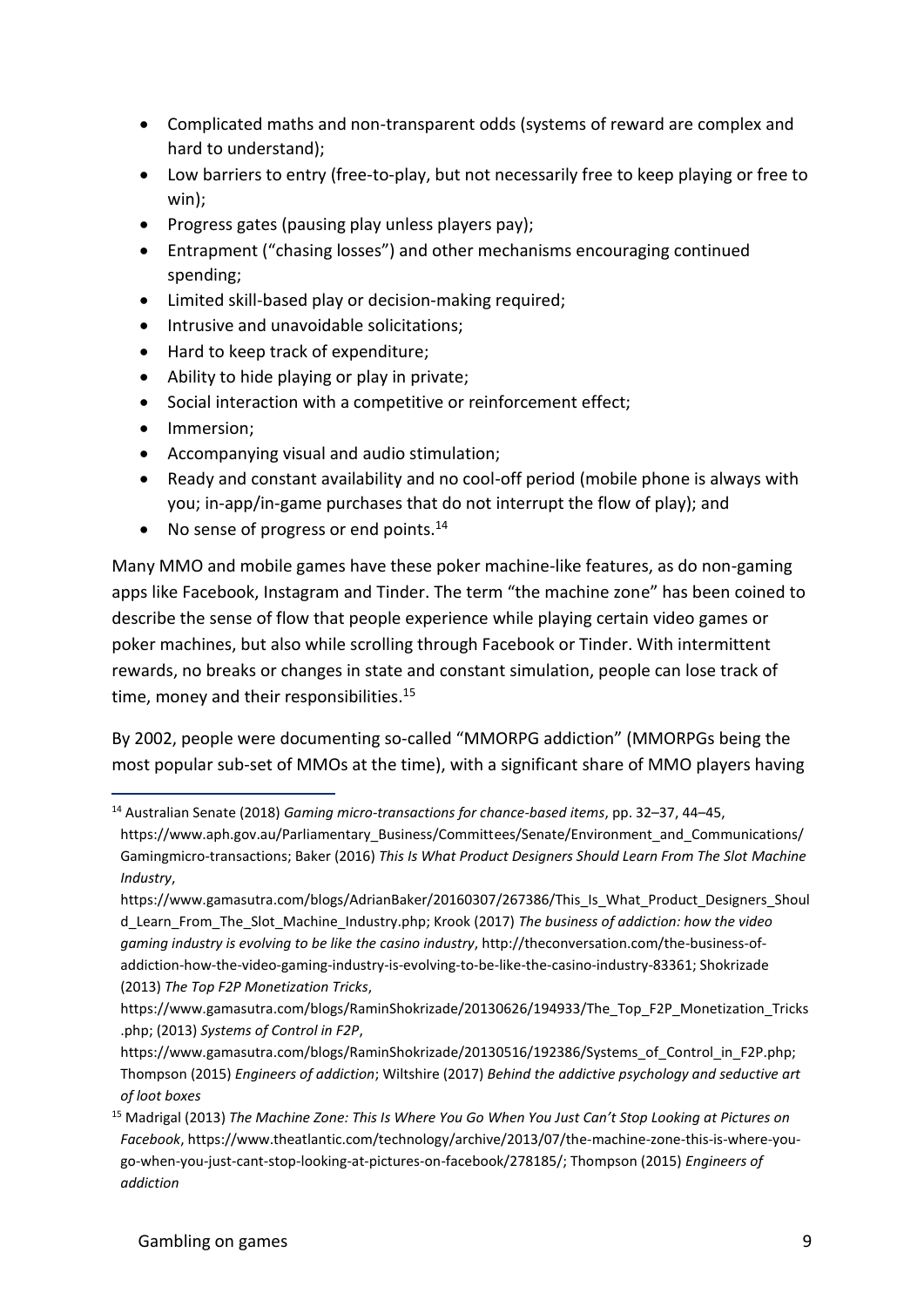- Complicated maths and non-transparent odds (systems of reward are complex and hard to understand);
- Low barriers to entry (free-to-play, but not necessarily free to keep playing or free to win);
- Progress gates (pausing play unless players pay);
- Entrapment ("chasing losses") and other mechanisms encouraging continued spending;
- Limited skill-based play or decision-making required;
- Intrusive and unavoidable solicitations;
- Hard to keep track of expenditure;
- Ability to hide playing or play in private;
- Social interaction with a competitive or reinforcement effect;
- Immersion;
- Accompanying visual and audio stimulation;
- Ready and constant availability and no cool-off period (mobile phone is always with you; in-app/in-game purchases that do not interrupt the flow of play); and
- No sense of progress or end points. $^{14}$

Many MMO and mobile games have these poker machine-like features, as do non-gaming apps like Facebook, Instagram and Tinder. The term "the machine zone" has been coined to describe the sense of flow that people experience while playing certain video games or poker machines, but also while scrolling through Facebook or Tinder. With intermittent rewards, no breaks or changes in state and constant simulation, people can lose track of time, money and their responsibilities.<sup>15</sup>

By 2002, people were documenting so-called "MMORPG addiction" (MMORPGs being the most popular sub-set of MMOs at the time), with a significant share of MMO players having

<sup>14</sup> Australian Senate (2018) *Gaming micro-transactions for chance-based items*, pp. 32–37, 44–45,

https://www.aph.gov.au/Parliamentary\_Business/Committees/Senate/Environment\_and\_Communications/ Gamingmicro-transactions; Baker (2016) *This Is What Product Designers Should Learn From The Slot Machine Industry*,

https://www.gamasutra.com/blogs/AdrianBaker/20160307/267386/This\_Is\_What\_Product\_Designers\_Shoul d\_Learn\_From\_The\_Slot\_Machine\_Industry.php; Krook (2017) *The business of addiction: how the video gaming industry is evolving to be like the casino industry*, http://theconversation.com/the-business-ofaddiction-how-the-video-gaming-industry-is-evolving-to-be-like-the-casino-industry-83361; Shokrizade (2013) *The Top F2P Monetization Tricks*,

https://www.gamasutra.com/blogs/RaminShokrizade/20130626/194933/The\_Top\_F2P\_Monetization\_Tricks .php; (2013) *Systems of Control in F2P*,

https://www.gamasutra.com/blogs/RaminShokrizade/20130516/192386/Systems of Control in F2P.php; Thompson (2015) *Engineers of addiction*; Wiltshire (2017) *Behind the addictive psychology and seductive art of loot boxes*

<sup>15</sup> Madrigal (2013) *The Machine Zone: This Is Where You Go When You Just Can't Stop Looking at Pictures on Facebook*, https://www.theatlantic.com/technology/archive/2013/07/the-machine-zone-this-is-where-yougo-when-you-just-cant-stop-looking-at-pictures-on-facebook/278185/; Thompson (2015) *Engineers of addiction*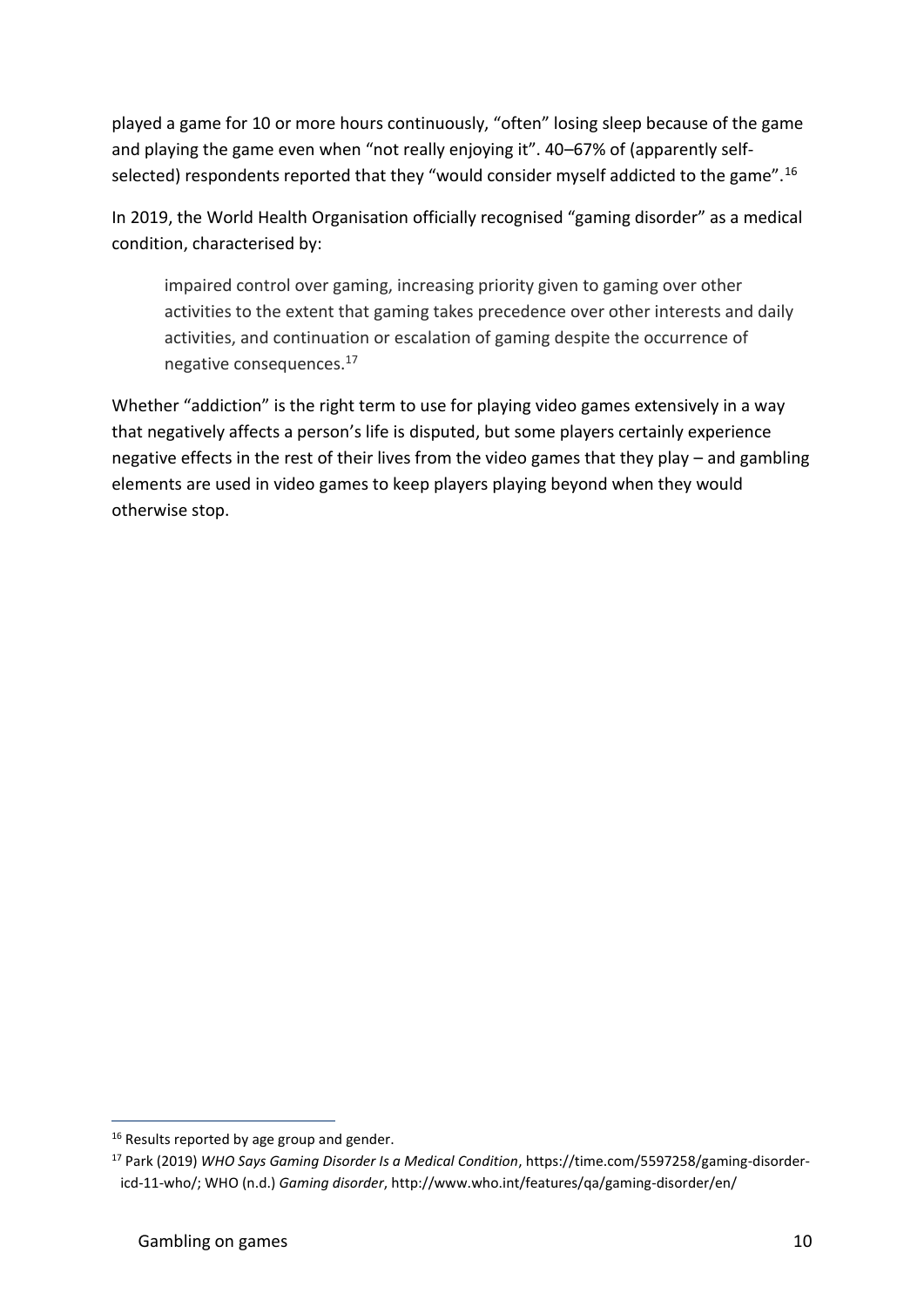played a game for 10 or more hours continuously, "often" losing sleep because of the game and playing the game even when "not really enjoying it". 40–67% of (apparently selfselected) respondents reported that they "would consider myself addicted to the game".<sup>16</sup>

In 2019, the World Health Organisation officially recognised "gaming disorder" as a medical condition, characterised by:

impaired control over gaming, increasing priority given to gaming over other activities to the extent that gaming takes precedence over other interests and daily activities, and continuation or escalation of gaming despite the occurrence of negative consequences.<sup>17</sup>

Whether "addiction" is the right term to use for playing video games extensively in a way that negatively affects a person's life is disputed, but some players certainly experience negative effects in the rest of their lives from the video games that they play – and gambling elements are used in video games to keep players playing beyond when they would otherwise stop.

<sup>&</sup>lt;sup>16</sup> Results reported by age group and gender.

<sup>17</sup> Park (2019) *WHO Says Gaming Disorder Is a Medical Condition*, https://time.com/5597258/gaming-disordericd-11-who/; WHO (n.d.) *Gaming disorder*, http://www.who.int/features/qa/gaming-disorder/en/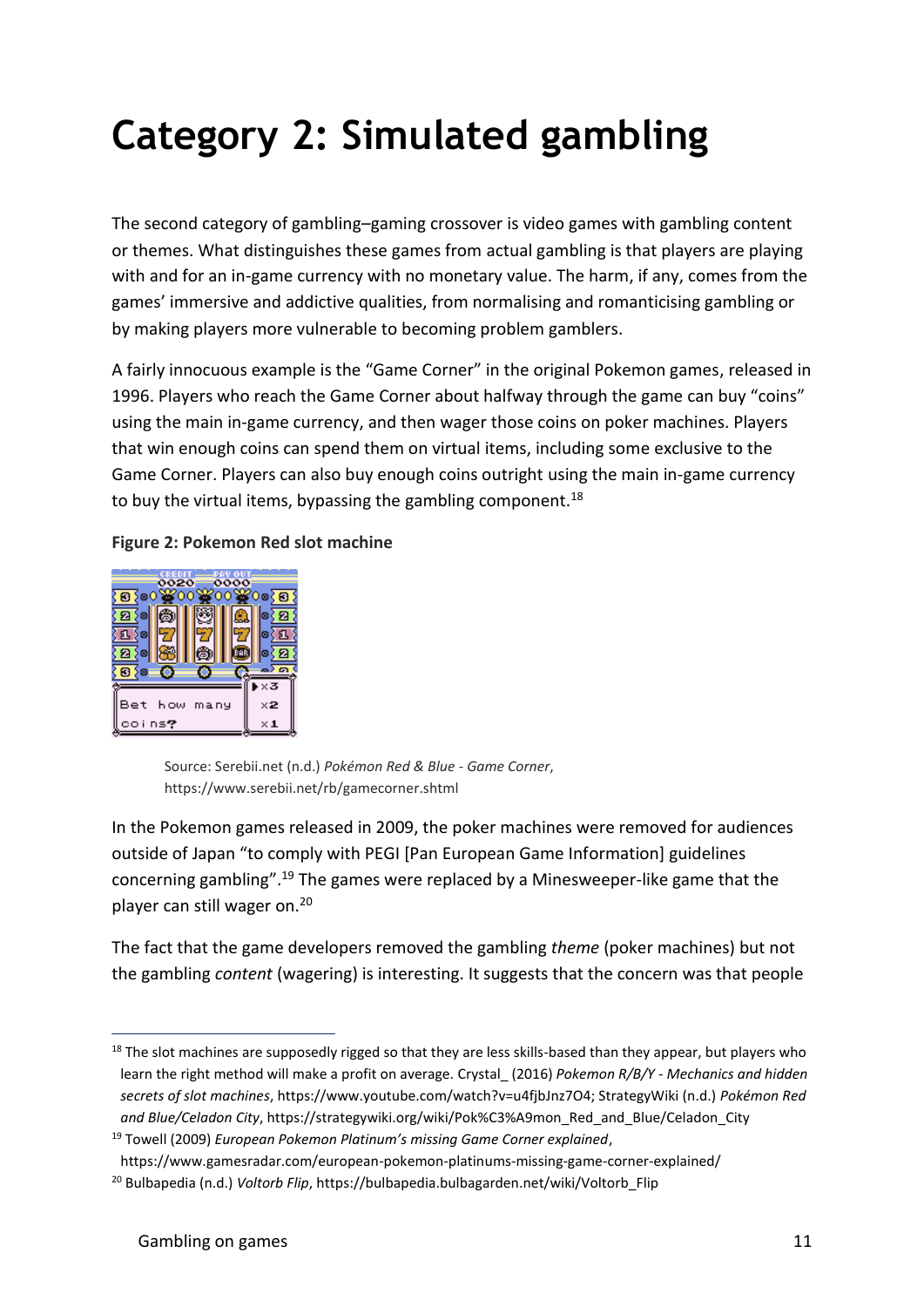# **Category 2: Simulated gambling**

The second category of gambling–gaming crossover is video games with gambling content or themes. What distinguishes these games from actual gambling is that players are playing with and for an in-game currency with no monetary value. The harm, if any, comes from the games' immersive and addictive qualities, from normalising and romanticising gambling or by making players more vulnerable to becoming problem gamblers.

A fairly innocuous example is the "Game Corner" in the original Pokemon games, released in 1996. Players who reach the Game Corner about halfway through the game can buy "coins" using the main in-game currency, and then wager those coins on poker machines. Players that win enough coins can spend them on virtual items, including some exclusive to the Game Corner. Players can also buy enough coins outright using the main in-game currency to buy the virtual items, bypassing the gambling component.<sup>18</sup>

#### **Figure 2: Pokemon Red slot machine**



Source: Serebii.net (n.d.) *Pokémon Red & Blue - Game Corner*, https://www.serebii.net/rb/gamecorner.shtml

In the Pokemon games released in 2009, the poker machines were removed for audiences outside of Japan "to comply with PEGI [Pan European Game Information] guidelines concerning gambling".<sup>19</sup> The games were replaced by a Minesweeper-like game that the player can still wager on.<sup>20</sup>

The fact that the game developers removed the gambling *theme* (poker machines) but not the gambling *content* (wagering) is interesting. It suggests that the concern was that people

<sup>&</sup>lt;sup>18</sup> The slot machines are supposedly rigged so that they are less skills-based than they appear, but players who learn the right method will make a profit on average. Crystal\_ (2016) *Pokemon R/B/Y - Mechanics and hidden secrets of slot machines*, https://www.youtube.com/watch?v=u4fjbJnz7O4; StrategyWiki (n.d.) *Pokémon Red and Blue/Celadon City*, https://strategywiki.org/wiki/Pok%C3%A9mon\_Red\_and\_Blue/Celadon\_City

<sup>19</sup> Towell (2009) *European Pokemon Platinum's missing Game Corner explained*,

https://www.gamesradar.com/european-pokemon-platinums-missing-game-corner-explained/

<sup>&</sup>lt;sup>20</sup> Bulbapedia (n.d.) *Voltorb Flip*, https://bulbapedia.bulbagarden.net/wiki/Voltorb\_Flip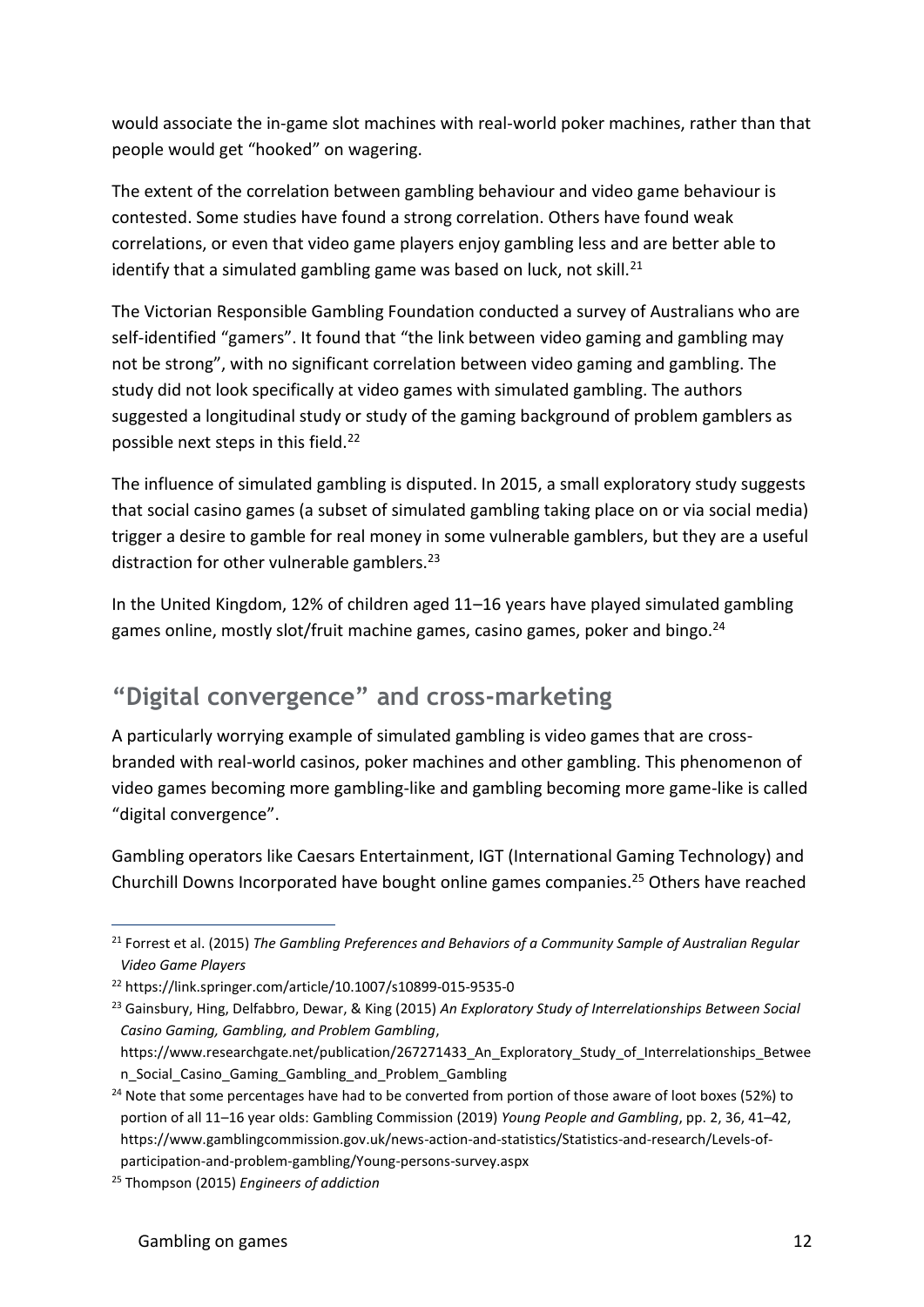would associate the in-game slot machines with real-world poker machines, rather than that people would get "hooked" on wagering.

The extent of the correlation between gambling behaviour and video game behaviour is contested. Some studies have found a strong correlation. Others have found weak correlations, or even that video game players enjoy gambling less and are better able to identify that a simulated gambling game was based on luck, not skill. $^{21}$ 

The Victorian Responsible Gambling Foundation conducted a survey of Australians who are self-identified "gamers". It found that "the link between video gaming and gambling may not be strong", with no significant correlation between video gaming and gambling. The study did not look specifically at video games with simulated gambling. The authors suggested a longitudinal study or study of the gaming background of problem gamblers as possible next steps in this field.<sup>22</sup>

The influence of simulated gambling is disputed. In 2015, a small exploratory study suggests that social casino games (a subset of simulated gambling taking place on or via social media) trigger a desire to gamble for real money in some vulnerable gamblers, but they are a useful distraction for other vulnerable gamblers. $^{23}$ 

In the United Kingdom, 12% of children aged 11–16 years have played simulated gambling games online, mostly slot/fruit machine games, casino games, poker and bingo.<sup>24</sup>

#### **"Digital convergence" and cross-marketing**

A particularly worrying example of simulated gambling is video games that are crossbranded with real-world casinos, poker machines and other gambling. This phenomenon of video games becoming more gambling-like and gambling becoming more game-like is called "digital convergence".

Gambling operators like Caesars Entertainment, IGT (International Gaming Technology) and Churchill Downs Incorporated have bought online games companies.<sup>25</sup> Others have reached

<sup>21</sup> Forrest et al. (2015) *The Gambling Preferences and Behaviors of a Community Sample of Australian Regular Video Game Players*

<sup>22</sup> <https://link.springer.com/article/10.1007/s10899-015-9535-0>

<sup>23</sup> Gainsbury, Hing, Delfabbro, Dewar, & King (2015) *An Exploratory Study of Interrelationships Between Social Casino Gaming, Gambling, and Problem Gambling*,

https://www.researchgate.net/publication/267271433 An Exploratory Study of Interrelationships Betwee n\_Social\_Casino\_Gaming\_Gambling\_and\_Problem\_Gambling

 $24$  Note that some percentages have had to be converted from portion of those aware of loot boxes (52%) to portion of all 11–16 year olds: Gambling Commission (2019) *Young People and Gambling*, pp. 2, 36, 41–42, https://www.gamblingcommission.gov.uk/news-action-and-statistics/Statistics-and-research/Levels-ofparticipation-and-problem-gambling/Young-persons-survey.aspx

<sup>25</sup> Thompson (2015) *Engineers of addiction*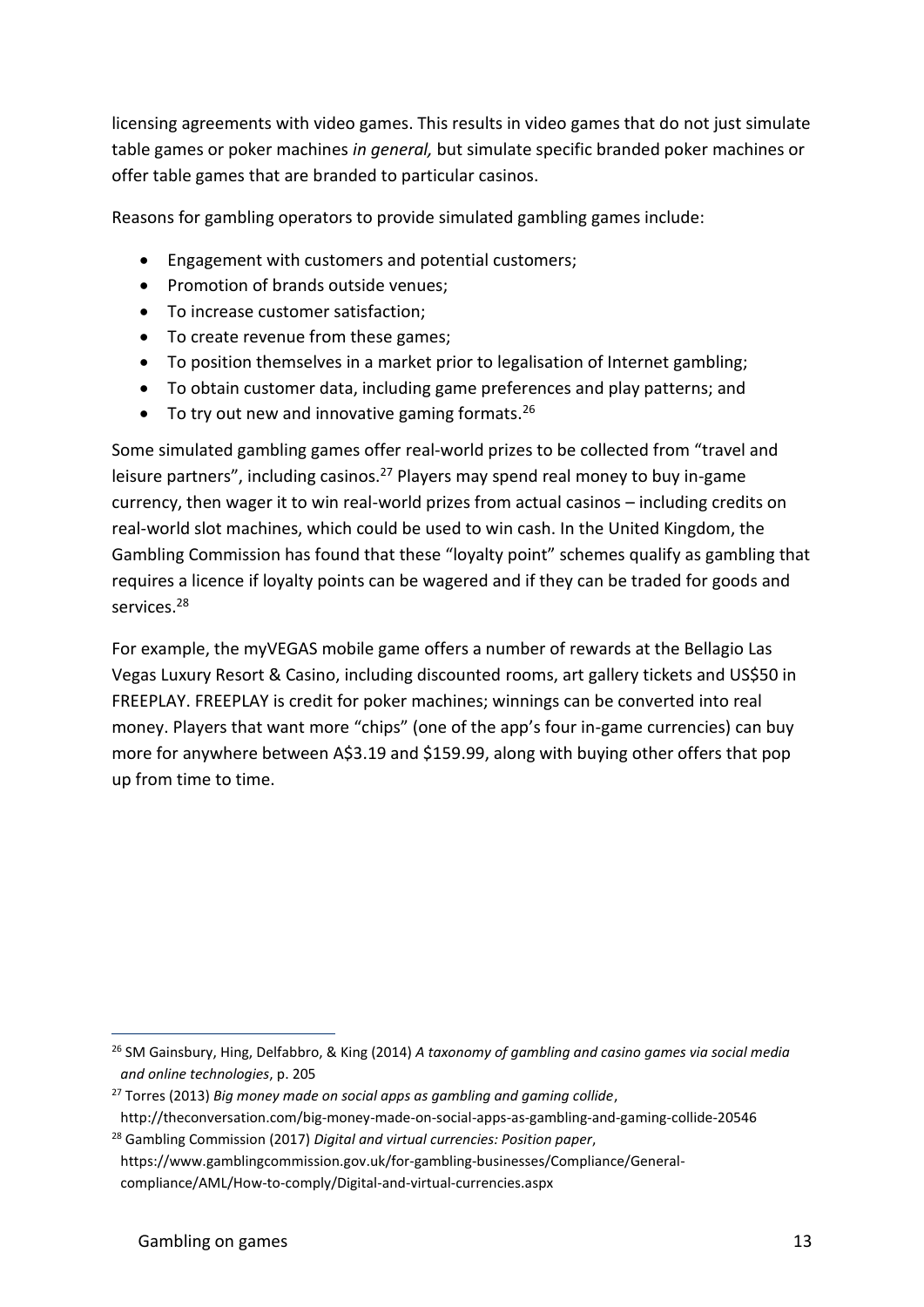licensing agreements with video games. This results in video games that do not just simulate table games or poker machines *in general,* but simulate specific branded poker machines or offer table games that are branded to particular casinos.

Reasons for gambling operators to provide simulated gambling games include:

- Engagement with customers and potential customers;
- Promotion of brands outside venues;
- To increase customer satisfaction;
- To create revenue from these games;
- To position themselves in a market prior to legalisation of Internet gambling;
- To obtain customer data, including game preferences and play patterns; and
- To try out new and innovative gaming formats.  $26$

Some simulated gambling games offer real-world prizes to be collected from "travel and leisure partners", including casinos.<sup>27</sup> Players may spend real money to buy in-game currency, then wager it to win real-world prizes from actual casinos – including credits on real-world slot machines, which could be used to win cash. In the United Kingdom, the Gambling Commission has found that these "loyalty point" schemes qualify as gambling that requires a licence if loyalty points can be wagered and if they can be traded for goods and services.<sup>28</sup>

For example, the myVEGAS mobile game offers a number of rewards at the Bellagio Las Vegas Luxury Resort & Casino, including discounted rooms, art gallery tickets and US\$50 in FREEPLAY. FREEPLAY is credit for poker machines; winnings can be converted into real money. Players that want more "chips" (one of the app's four in-game currencies) can buy more for anywhere between A\$3.19 and \$159.99, along with buying other offers that pop up from time to time.

<sup>26</sup> SM Gainsbury, Hing, Delfabbro, & King (2014) *A taxonomy of gambling and casino games via social media and online technologies*, p. 205

<sup>27</sup> Torres (2013) *Big money made on social apps as gambling and gaming collide*,

http://theconversation.com/big-money-made-on-social-apps-as-gambling-and-gaming-collide-20546 <sup>28</sup> Gambling Commission (2017) *Digital and virtual currencies: Position paper*,

https://www.gamblingcommission.gov.uk/for-gambling-businesses/Compliance/Generalcompliance/AML/How-to-comply/Digital-and-virtual-currencies.aspx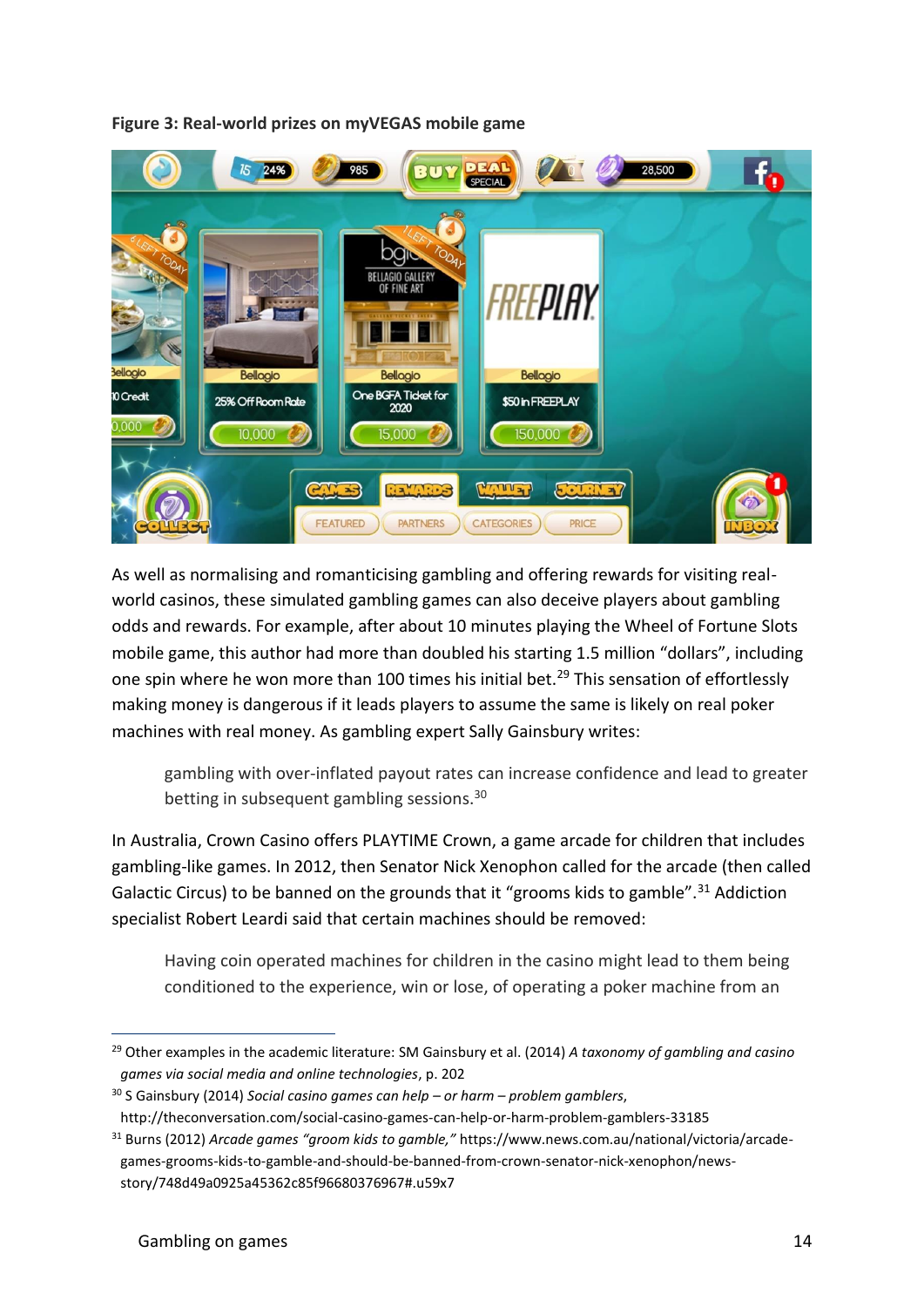



As well as normalising and romanticising gambling and offering rewards for visiting realworld casinos, these simulated gambling games can also deceive players about gambling odds and rewards. For example, after about 10 minutes playing the Wheel of Fortune Slots mobile game, this author had more than doubled his starting 1.5 million "dollars", including one spin where he won more than 100 times his initial bet.<sup>29</sup> This sensation of effortlessly making money is dangerous if it leads players to assume the same is likely on real poker machines with real money. As gambling expert Sally Gainsbury writes:

gambling with over-inflated payout rates can increase confidence and lead to greater betting in subsequent gambling sessions.<sup>30</sup>

In Australia, Crown Casino offers PLAYTIME Crown, a game arcade for children that includes gambling-like games. In 2012, then Senator Nick Xenophon called for the arcade (then called Galactic Circus) to be banned on the grounds that it "grooms kids to gamble".<sup>31</sup> Addiction specialist Robert Leardi said that certain machines should be removed:

Having coin operated machines for children in the casino might lead to them being conditioned to the experience, win or lose, of operating a poker machine from an

<sup>29</sup> Other examples in the academic literature: SM Gainsbury et al. (2014) *A taxonomy of gambling and casino games via social media and online technologies*, p. 202

<sup>30</sup> S Gainsbury (2014) *Social casino games can help – or harm – problem gamblers*,

http://theconversation.com/social-casino-games-can-help-or-harm-problem-gamblers-33185

<sup>31</sup> Burns (2012) *Arcade games "groom kids to gamble,"* https://www.news.com.au/national/victoria/arcadegames-grooms-kids-to-gamble-and-should-be-banned-from-crown-senator-nick-xenophon/newsstory/748d49a0925a45362c85f96680376967#.u59x7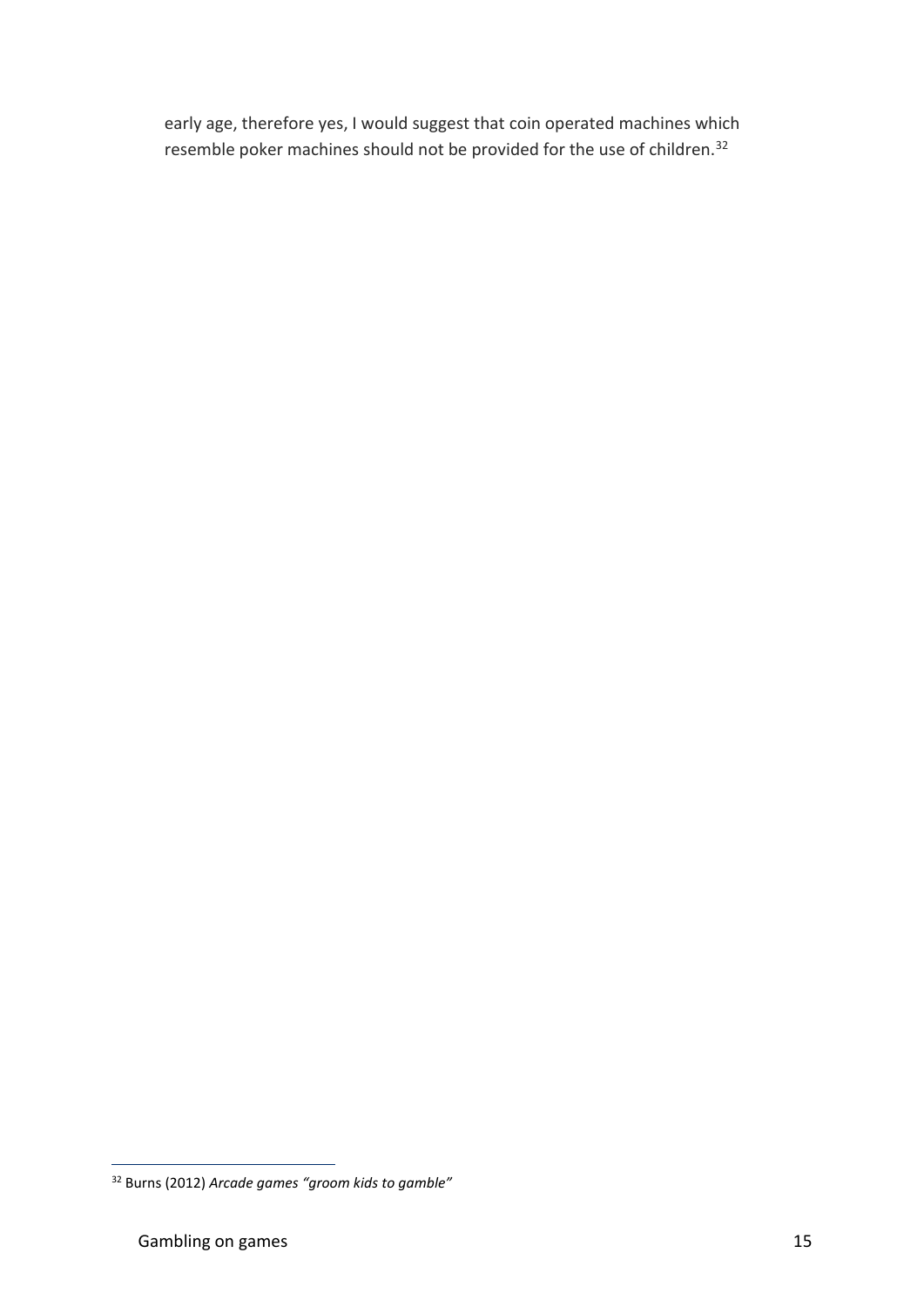early age, therefore yes, I would suggest that coin operated machines which resemble poker machines should not be provided for the use of children.<sup>32</sup>

<sup>32</sup> Burns (2012) *Arcade games "groom kids to gamble"*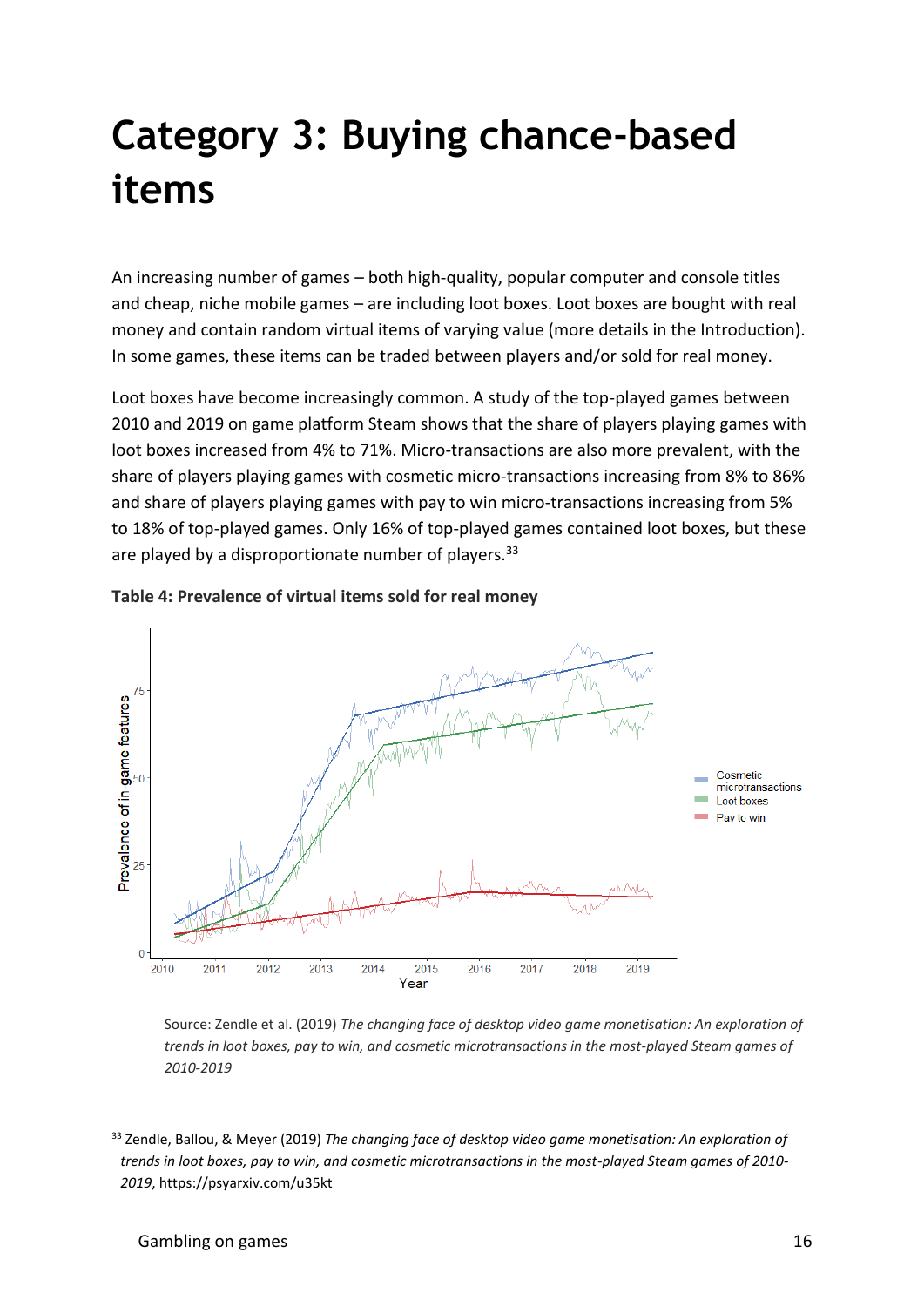## **Category 3: Buying chance-based items**

An increasing number of games – both high-quality, popular computer and console titles and cheap, niche mobile games – are including loot boxes. Loot boxes are bought with real money and contain random virtual items of varying value (more details in the Introduction). In some games, these items can be traded between players and/or sold for real money.

Loot boxes have become increasingly common. A study of the top-played games between 2010 and 2019 on game platform Steam shows that the share of players playing games with loot boxes increased from 4% to 71%. Micro-transactions are also more prevalent, with the share of players playing games with cosmetic micro-transactions increasing from 8% to 86% and share of players playing games with pay to win micro-transactions increasing from 5% to 18% of top-played games. Only 16% of top-played games contained loot boxes, but these are played by a disproportionate number of players.  $33$ 





Source: Zendle et al. (2019) *The changing face of desktop video game monetisation: An exploration of trends in loot boxes, pay to win, and cosmetic microtransactions in the most-played Steam games of 2010-2019*

<sup>33</sup> Zendle, Ballou, & Meyer (2019) *The changing face of desktop video game monetisation: An exploration of trends in loot boxes, pay to win, and cosmetic microtransactions in the most-played Steam games of 2010- 2019*, https://psyarxiv.com/u35kt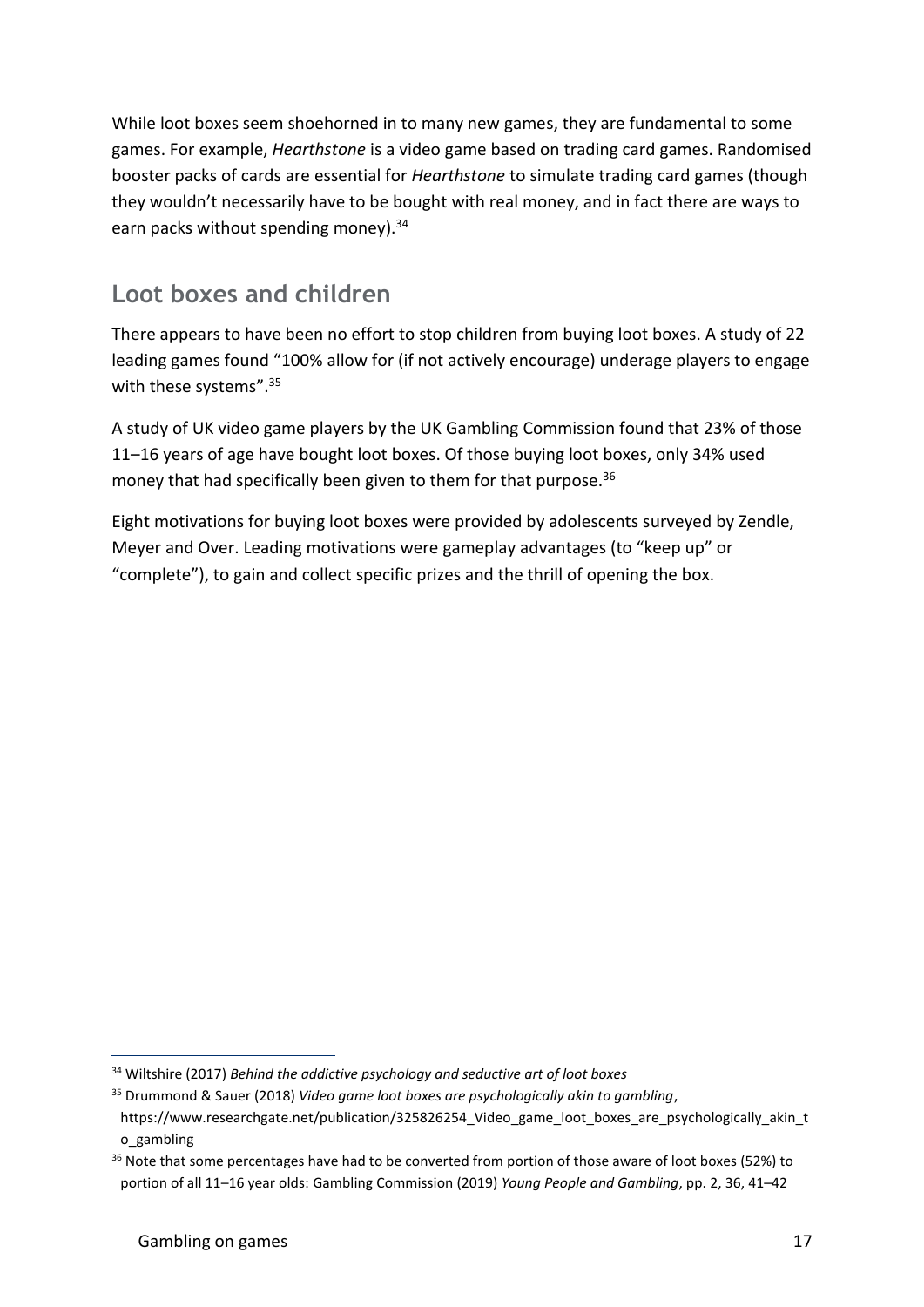While loot boxes seem shoehorned in to many new games, they are fundamental to some games. For example, *Hearthstone* is a video game based on trading card games. Randomised booster packs of cards are essential for *Hearthstone* to simulate trading card games (though they wouldn't necessarily have to be bought with real money, and in fact there are ways to earn packs without spending money).<sup>34</sup>

#### **Loot boxes and children**

There appears to have been no effort to stop children from buying loot boxes. A study of 22 leading games found "100% allow for (if not actively encourage) underage players to engage with these systems".<sup>35</sup>

A study of UK video game players by the UK Gambling Commission found that 23% of those 11–16 years of age have bought loot boxes. Of those buying loot boxes, only 34% used money that had specifically been given to them for that purpose.<sup>36</sup>

Eight motivations for buying loot boxes were provided by adolescents surveyed by Zendle, Meyer and Over. Leading motivations were gameplay advantages (to "keep up" or "complete"), to gain and collect specific prizes and the thrill of opening the box.

<sup>34</sup> Wiltshire (2017) *Behind the addictive psychology and seductive art of loot boxes*

<sup>35</sup> Drummond & Sauer (2018) *Video game loot boxes are psychologically akin to gambling*,

https://www.researchgate.net/publication/325826254 Video game loot boxes are psychologically akin t o\_gambling

<sup>&</sup>lt;sup>36</sup> Note that some percentages have had to be converted from portion of those aware of loot boxes (52%) to portion of all 11–16 year olds: Gambling Commission (2019) *Young People and Gambling*, pp. 2, 36, 41–42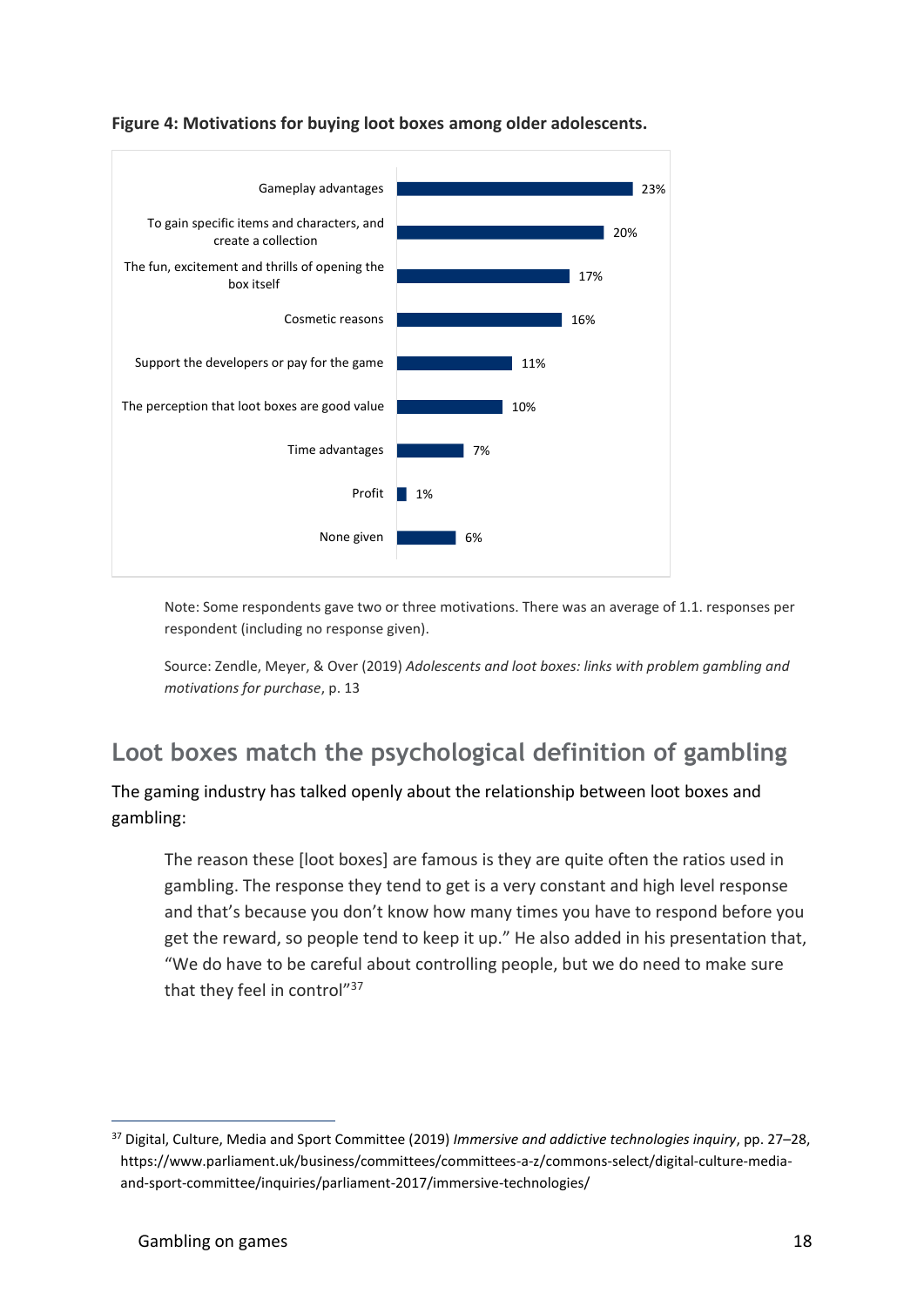

**Figure 4: Motivations for buying loot boxes among older adolescents.**

Note: Some respondents gave two or three motivations. There was an average of 1.1. responses per respondent (including no response given).

Source: Zendle, Meyer, & Over (2019) *Adolescents and loot boxes: links with problem gambling and motivations for purchase*, p. 13

#### **Loot boxes match the psychological definition of gambling**

The gaming industry has talked openly about the relationship between loot boxes and gambling:

The reason these [loot boxes] are famous is they are quite often the ratios used in gambling. The response they tend to get is a very constant and high level response and that's because you don't know how many times you have to respond before you get the reward, so people tend to keep it up." He also added in his presentation that, "We do have to be careful about controlling people, but we do need to make sure that they feel in control"<sup>37</sup>

<sup>37</sup> Digital, Culture, Media and Sport Committee (2019) *Immersive and addictive technologies inquiry*, pp. 27–28, https://www.parliament.uk/business/committees/committees-a-z/commons-select/digital-culture-mediaand-sport-committee/inquiries/parliament-2017/immersive-technologies/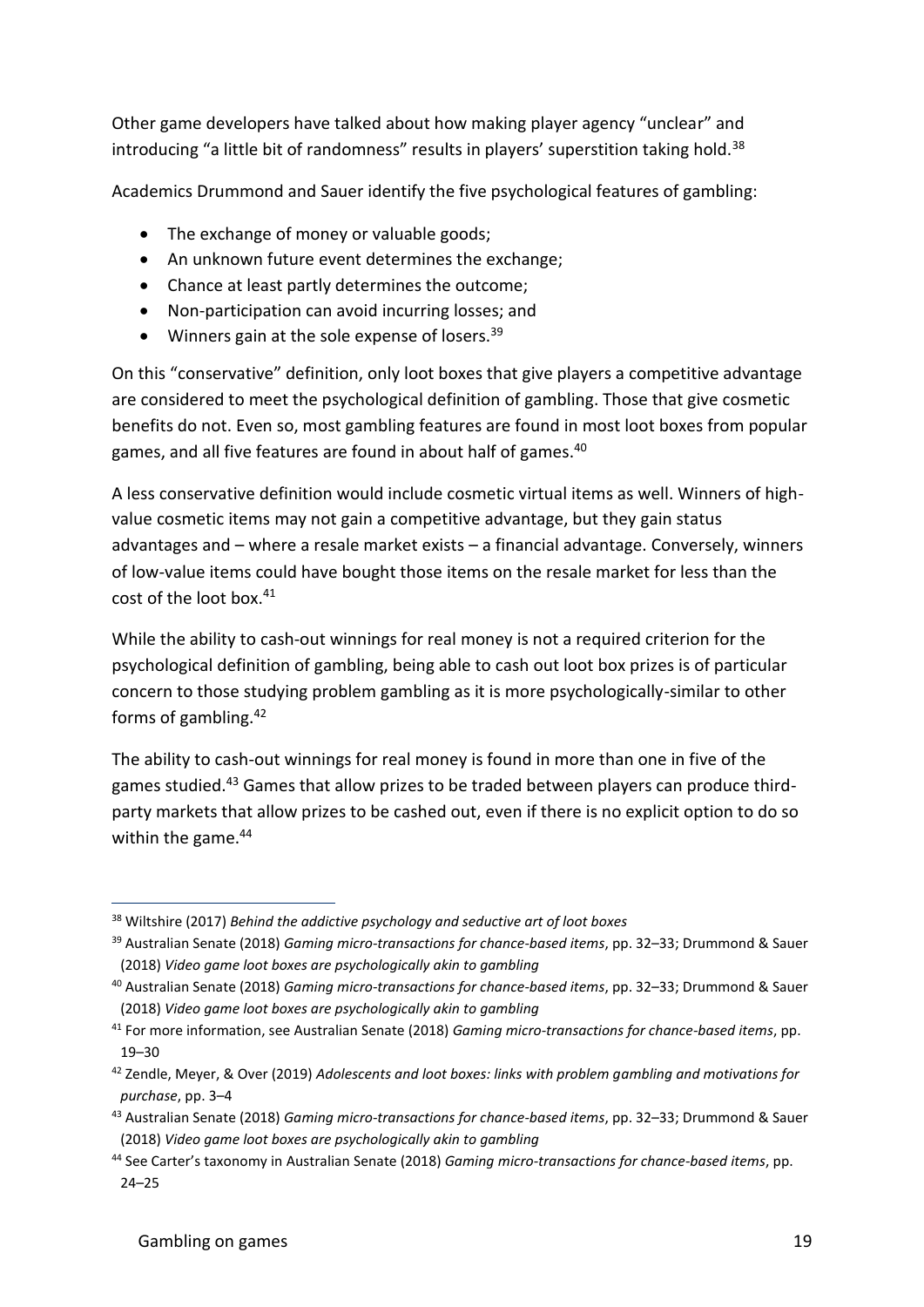Other game developers have talked about how making player agency "unclear" and introducing "a little bit of randomness" results in players' superstition taking hold.<sup>38</sup>

Academics Drummond and Sauer identify the five psychological features of gambling:

- The exchange of money or valuable goods:
- An unknown future event determines the exchange;
- Chance at least partly determines the outcome;
- Non-participation can avoid incurring losses; and
- Winners gain at the sole expense of losers. $39$

On this "conservative" definition, only loot boxes that give players a competitive advantage are considered to meet the psychological definition of gambling. Those that give cosmetic benefits do not. Even so, most gambling features are found in most loot boxes from popular games, and all five features are found in about half of games.<sup>40</sup>

A less conservative definition would include cosmetic virtual items as well. Winners of highvalue cosmetic items may not gain a competitive advantage, but they gain status advantages and – where a resale market exists – a financial advantage. Conversely, winners of low-value items could have bought those items on the resale market for less than the cost of the loot box.<sup>41</sup>

While the ability to cash-out winnings for real money is not a required criterion for the psychological definition of gambling, being able to cash out loot box prizes is of particular concern to those studying problem gambling as it is more psychologically-similar to other forms of gambling.<sup>42</sup>

The ability to cash-out winnings for real money is found in more than one in five of the games studied.<sup>43</sup> Games that allow prizes to be traded between players can produce thirdparty markets that allow prizes to be cashed out, even if there is no explicit option to do so within the game.<sup>44</sup>

<sup>38</sup> Wiltshire (2017) *Behind the addictive psychology and seductive art of loot boxes*

<sup>39</sup> Australian Senate (2018) *Gaming micro-transactions for chance-based items*, pp. 32–33; Drummond & Sauer (2018) *Video game loot boxes are psychologically akin to gambling*

<sup>40</sup> Australian Senate (2018) *Gaming micro-transactions for chance-based items*, pp. 32–33; Drummond & Sauer (2018) *Video game loot boxes are psychologically akin to gambling*

<sup>41</sup> For more information, see Australian Senate (2018) *Gaming micro-transactions for chance-based items*, pp. 19–30

<sup>42</sup> Zendle, Meyer, & Over (2019) *Adolescents and loot boxes: links with problem gambling and motivations for purchase*, pp. 3–4

<sup>43</sup> Australian Senate (2018) *Gaming micro-transactions for chance-based items*, pp. 32–33; Drummond & Sauer (2018) *Video game loot boxes are psychologically akin to gambling*

<sup>44</sup> See Carter's taxonomy in Australian Senate (2018) *Gaming micro-transactions for chance-based items*, pp. 24–25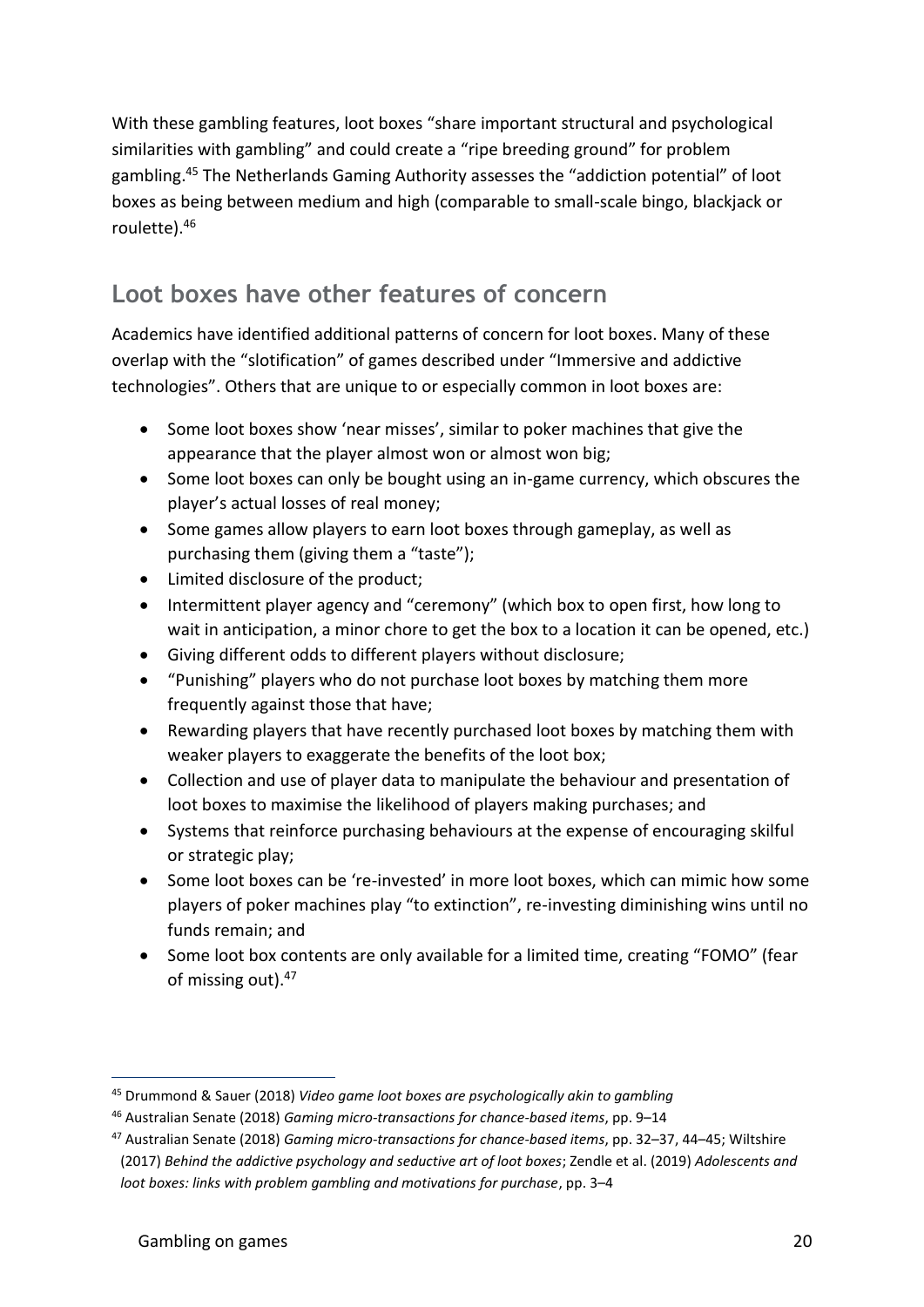With these gambling features, loot boxes "share important structural and psychological similarities with gambling" and could create a "ripe breeding ground" for problem gambling.<sup>45</sup> The Netherlands Gaming Authority assesses the "addiction potential" of loot boxes as being between medium and high (comparable to small-scale bingo, blackjack or roulette).<sup>46</sup>

#### **Loot boxes have other features of concern**

Academics have identified additional patterns of concern for loot boxes. Many of these overlap with the "slotification" of games described under "Immersive and addictive technologies". Others that are unique to or especially common in loot boxes are:

- Some loot boxes show 'near misses', similar to poker machines that give the appearance that the player almost won or almost won big;
- Some loot boxes can only be bought using an in-game currency, which obscures the player's actual losses of real money;
- Some games allow players to earn loot boxes through gameplay, as well as purchasing them (giving them a "taste");
- Limited disclosure of the product;
- Intermittent player agency and "ceremony" (which box to open first, how long to wait in anticipation, a minor chore to get the box to a location it can be opened, etc.)
- Giving different odds to different players without disclosure;
- "Punishing" players who do not purchase loot boxes by matching them more frequently against those that have;
- Rewarding players that have recently purchased loot boxes by matching them with weaker players to exaggerate the benefits of the loot box;
- Collection and use of player data to manipulate the behaviour and presentation of loot boxes to maximise the likelihood of players making purchases; and
- Systems that reinforce purchasing behaviours at the expense of encouraging skilful or strategic play;
- Some loot boxes can be 're-invested' in more loot boxes, which can mimic how some players of poker machines play "to extinction", re-investing diminishing wins until no funds remain; and
- Some loot box contents are only available for a limited time, creating "FOMO" (fear of missing out).<sup>47</sup>

<sup>45</sup> Drummond & Sauer (2018) *Video game loot boxes are psychologically akin to gambling*

<sup>46</sup> Australian Senate (2018) *Gaming micro-transactions for chance-based items*, pp. 9–14

<sup>47</sup> Australian Senate (2018) *Gaming micro-transactions for chance-based items*, pp. 32–37, 44–45; Wiltshire (2017) *Behind the addictive psychology and seductive art of loot boxes*; Zendle et al. (2019) *Adolescents and loot boxes: links with problem gambling and motivations for purchase*, pp. 3–4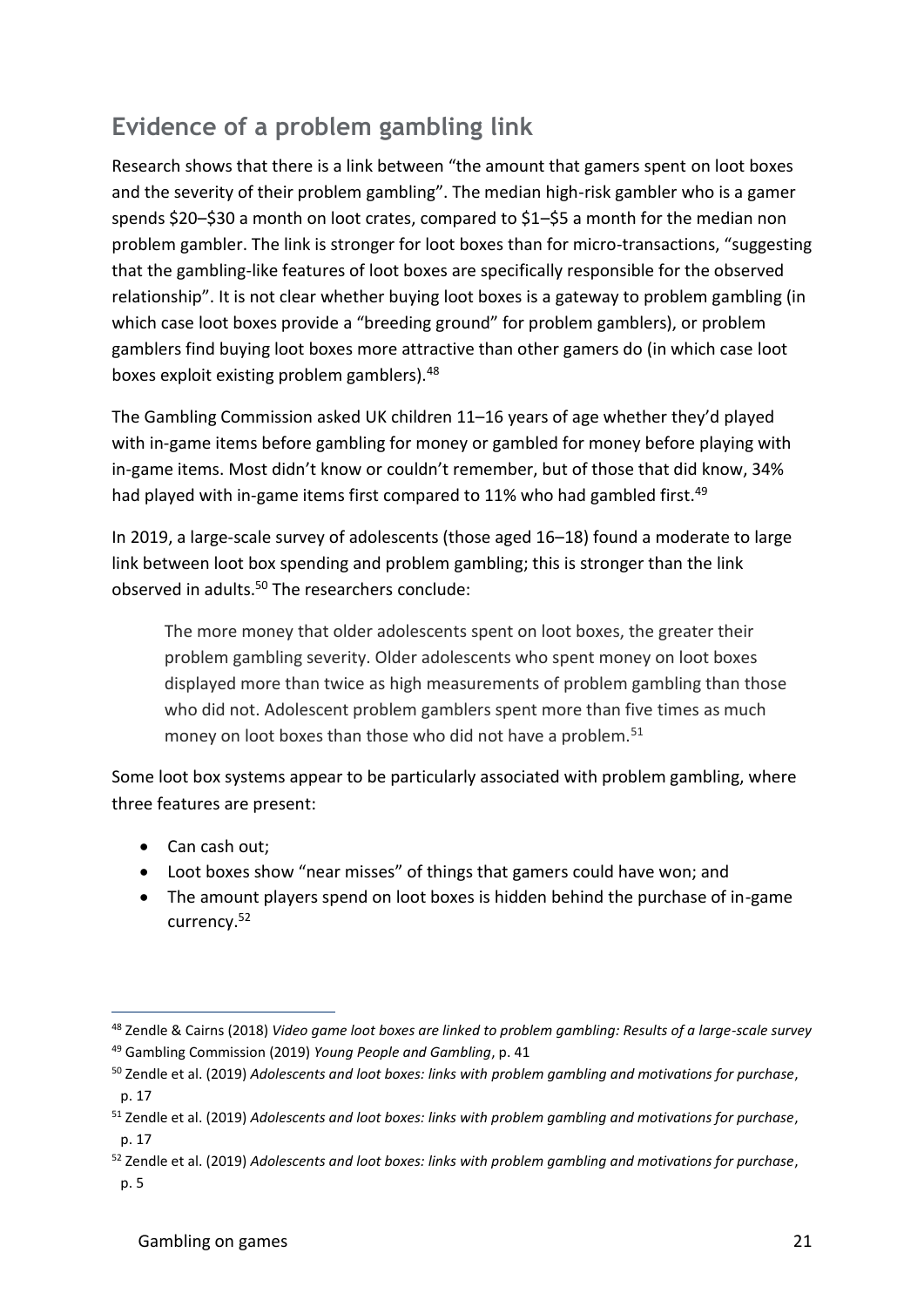### **Evidence of a problem gambling link**

Research shows that there is a link between "the amount that gamers spent on loot boxes and the severity of their problem gambling". The median high-risk gambler who is a gamer spends \$20–\$30 a month on loot crates, compared to \$1–\$5 a month for the median non problem gambler. The link is stronger for loot boxes than for micro-transactions, "suggesting that the gambling-like features of loot boxes are specifically responsible for the observed relationship". It is not clear whether buying loot boxes is a gateway to problem gambling (in which case loot boxes provide a "breeding ground" for problem gamblers), or problem gamblers find buying loot boxes more attractive than other gamers do (in which case loot boxes exploit existing problem gamblers).<sup>48</sup>

The Gambling Commission asked UK children 11–16 years of age whether they'd played with in-game items before gambling for money or gambled for money before playing with in-game items. Most didn't know or couldn't remember, but of those that did know, 34% had played with in-game items first compared to 11% who had gambled first.<sup>49</sup>

In 2019, a large-scale survey of adolescents (those aged 16–18) found a moderate to large link between loot box spending and problem gambling; this is stronger than the link observed in adults.<sup>50</sup> The researchers conclude:

The more money that older adolescents spent on loot boxes, the greater their problem gambling severity. Older adolescents who spent money on loot boxes displayed more than twice as high measurements of problem gambling than those who did not. Adolescent problem gamblers spent more than five times as much money on loot boxes than those who did not have a problem.<sup>51</sup>

Some loot box systems appear to be particularly associated with problem gambling, where three features are present:

- Can cash out;
- Loot boxes show "near misses" of things that gamers could have won; and
- The amount players spend on loot boxes is hidden behind the purchase of in-game currency.<sup>52</sup>

<sup>48</sup> Zendle & Cairns (2018) *Video game loot boxes are linked to problem gambling: Results of a large-scale survey* <sup>49</sup> Gambling Commission (2019) *Young People and Gambling*, p. 41

<sup>50</sup> Zendle et al. (2019) *Adolescents and loot boxes: links with problem gambling and motivations for purchase*, p. 17

<sup>51</sup> Zendle et al. (2019) *Adolescents and loot boxes: links with problem gambling and motivations for purchase*, p. 17

<sup>52</sup> Zendle et al. (2019) *Adolescents and loot boxes: links with problem gambling and motivations for purchase*, p. 5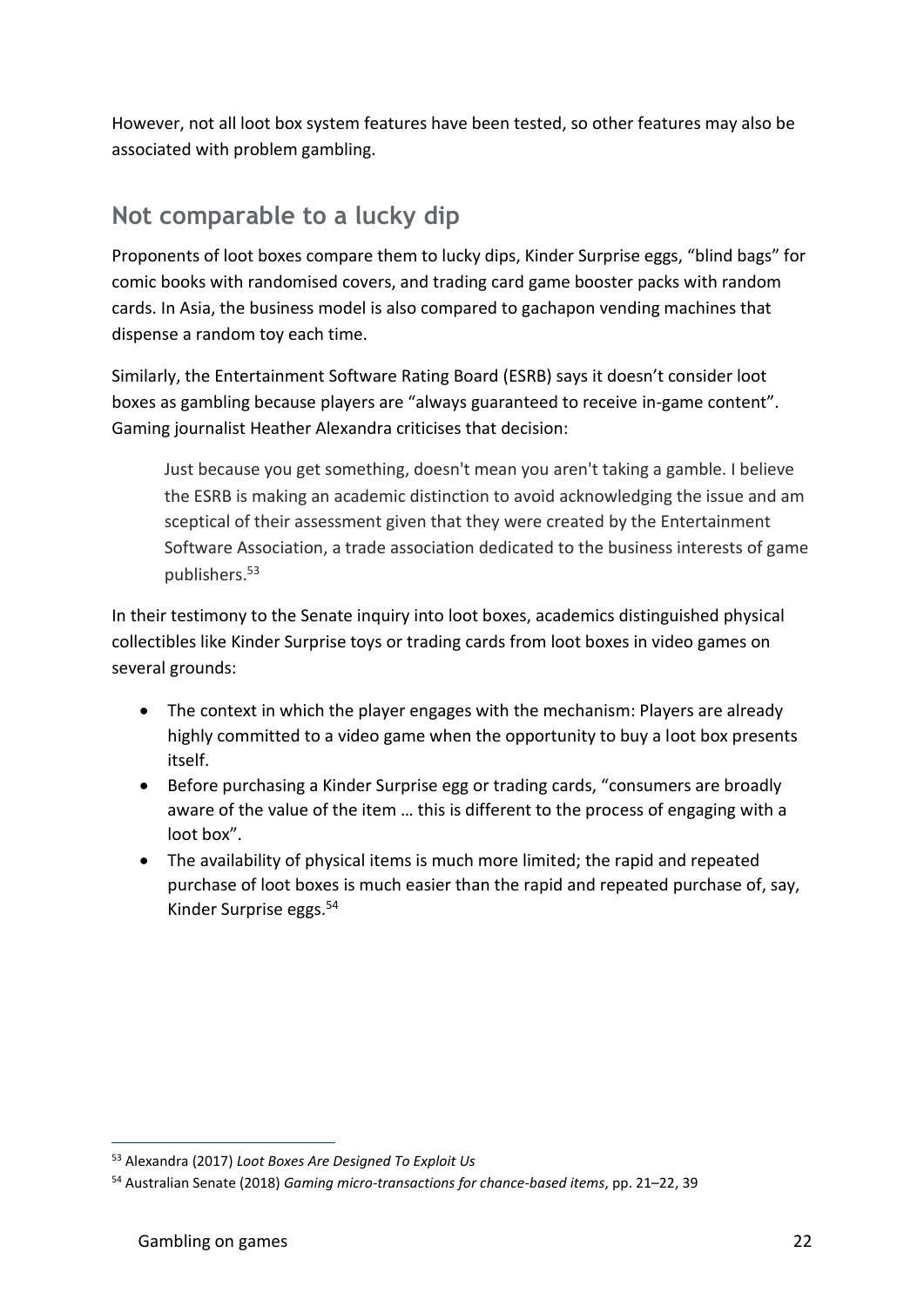However, not all loot box system features have been tested, so other features may also be associated with problem gambling.

#### **Not comparable to a lucky dip**

Proponents of loot boxes compare them to lucky dips, Kinder Surprise eggs, "blind bags" for comic books with randomised covers, and trading card game booster packs with random cards. In Asia, the business model is also compared to gachapon vending machines that dispense a random toy each time.

Similarly, the Entertainment Software Rating Board (ESRB) says it doesn't consider loot boxes as gambling because players are "always guaranteed to receive in-game content". Gaming journalist Heather Alexandra criticises that decision:

Just because you get something, doesn't mean you aren't taking a gamble. I believe the ESRB is making an academic distinction to avoid acknowledging the issue and am sceptical of their assessment given that they were created by the Entertainment Software Association, a trade association dedicated to the business interests of game publishers.<sup>53</sup>

In their testimony to the Senate inquiry into loot boxes, academics distinguished physical collectibles like Kinder Surprise toys or trading cards from loot boxes in video games on several grounds:

- The context in which the player engages with the mechanism: Players are already highly committed to a video game when the opportunity to buy a loot box presents itself.
- Before purchasing a Kinder Surprise egg or trading cards, "consumers are broadly aware of the value of the item … this is different to the process of engaging with a loot box".
- The availability of physical items is much more limited; the rapid and repeated purchase of loot boxes is much easier than the rapid and repeated purchase of, say, Kinder Surprise eggs.<sup>54</sup>

<sup>53</sup> Alexandra (2017) *Loot Boxes Are Designed To Exploit Us*

<sup>54</sup> Australian Senate (2018) *Gaming micro-transactions for chance-based items*, pp. 21–22, 39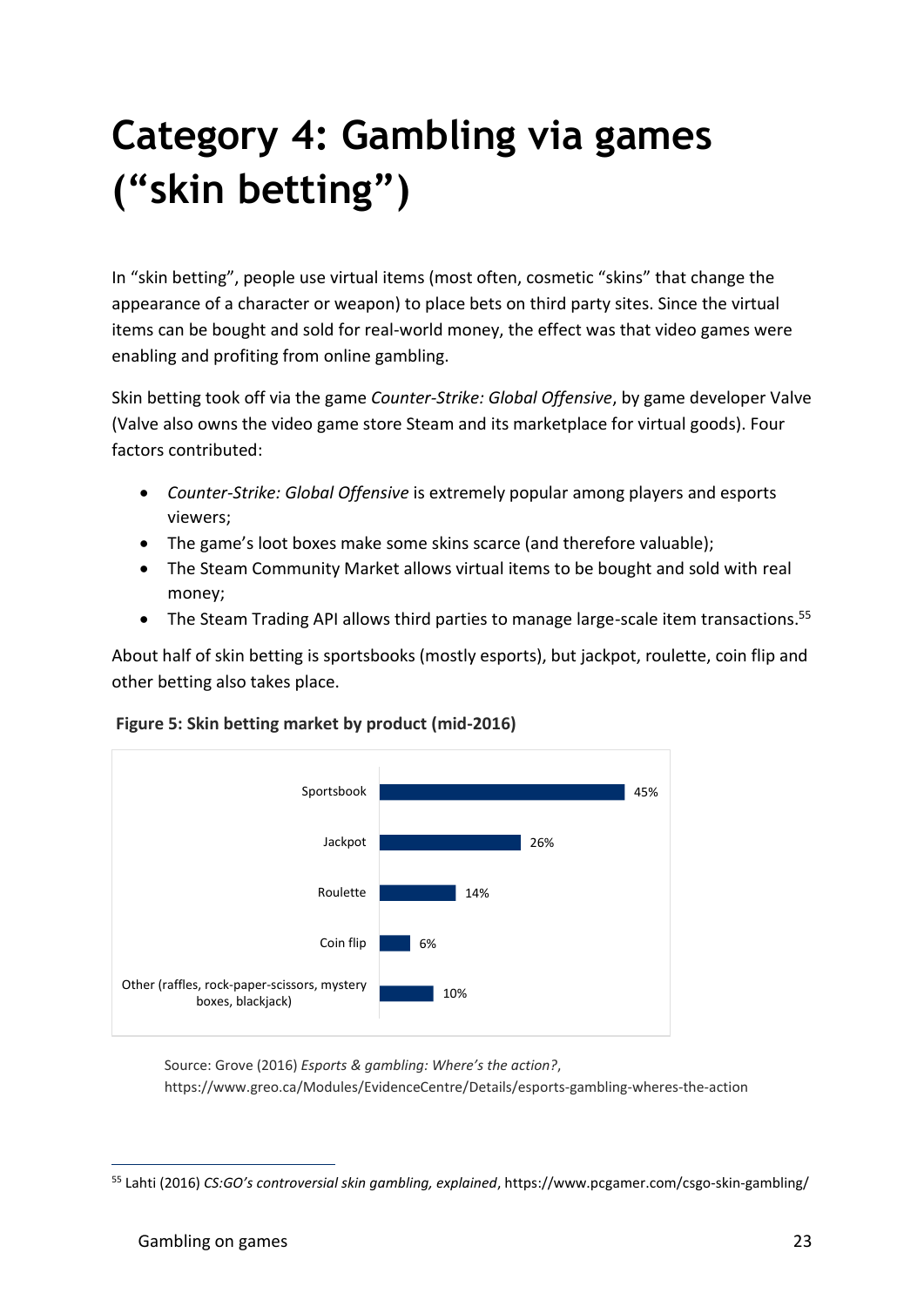# **Category 4: Gambling via games ("skin betting")**

In "skin betting", people use virtual items (most often, cosmetic "skins" that change the appearance of a character or weapon) to place bets on third party sites. Since the virtual items can be bought and sold for real-world money, the effect was that video games were enabling and profiting from online gambling.

Skin betting took off via the game *Counter-Strike: Global Offensive*, by game developer Valve (Valve also owns the video game store Steam and its marketplace for virtual goods). Four factors contributed:

- *Counter-Strike: Global Offensive* is extremely popular among players and esports viewers;
- The game's loot boxes make some skins scarce (and therefore valuable);
- The Steam Community Market allows virtual items to be bought and sold with real money;
- The Steam Trading API allows third parties to manage large-scale item transactions.<sup>55</sup>

About half of skin betting is sportsbooks (mostly esports), but jackpot, roulette, coin flip and other betting also takes place.





Source: Grove (2016) *Esports & gambling: Where's the action?*, https://www.greo.ca/Modules/EvidenceCentre/Details/esports-gambling-wheres-the-action

<sup>55</sup> Lahti (2016) *CS:GO's controversial skin gambling, explained*, https://www.pcgamer.com/csgo-skin-gambling/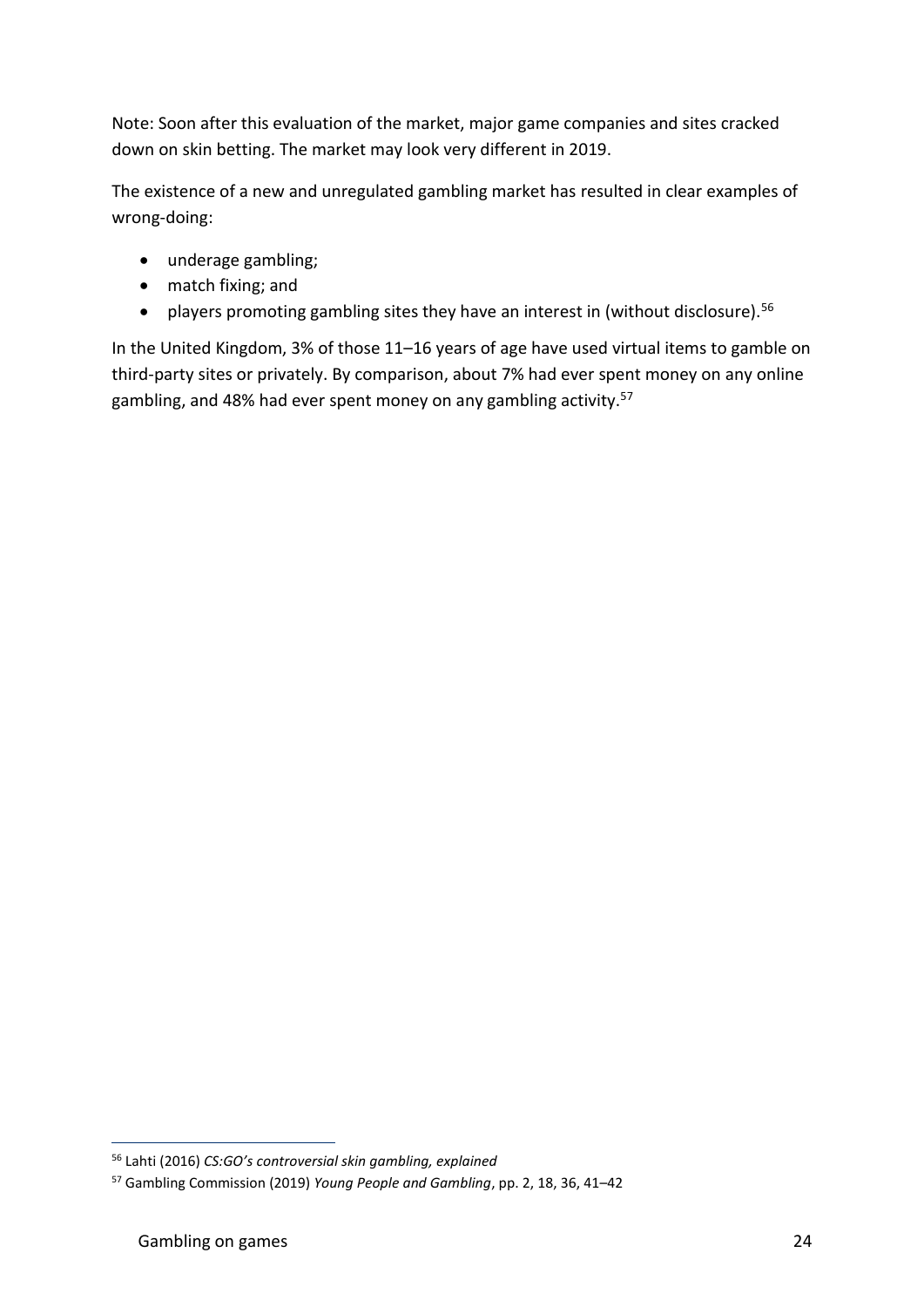Note: Soon after this evaluation of the market, major game companies and sites cracked down on skin betting. The market may look very different in 2019.

The existence of a new and unregulated gambling market has resulted in clear examples of wrong-doing:

- underage gambling;
- match fixing; and
- players promoting gambling sites they have an interest in (without disclosure).<sup>56</sup>

In the United Kingdom, 3% of those 11–16 years of age have used virtual items to gamble on third-party sites or privately. By comparison, about 7% had ever spent money on any online gambling, and 48% had ever spent money on any gambling activity.<sup>57</sup>

<sup>56</sup> Lahti (2016) *CS:GO's controversial skin gambling, explained*

<sup>57</sup> Gambling Commission (2019) *Young People and Gambling*, pp. 2, 18, 36, 41–42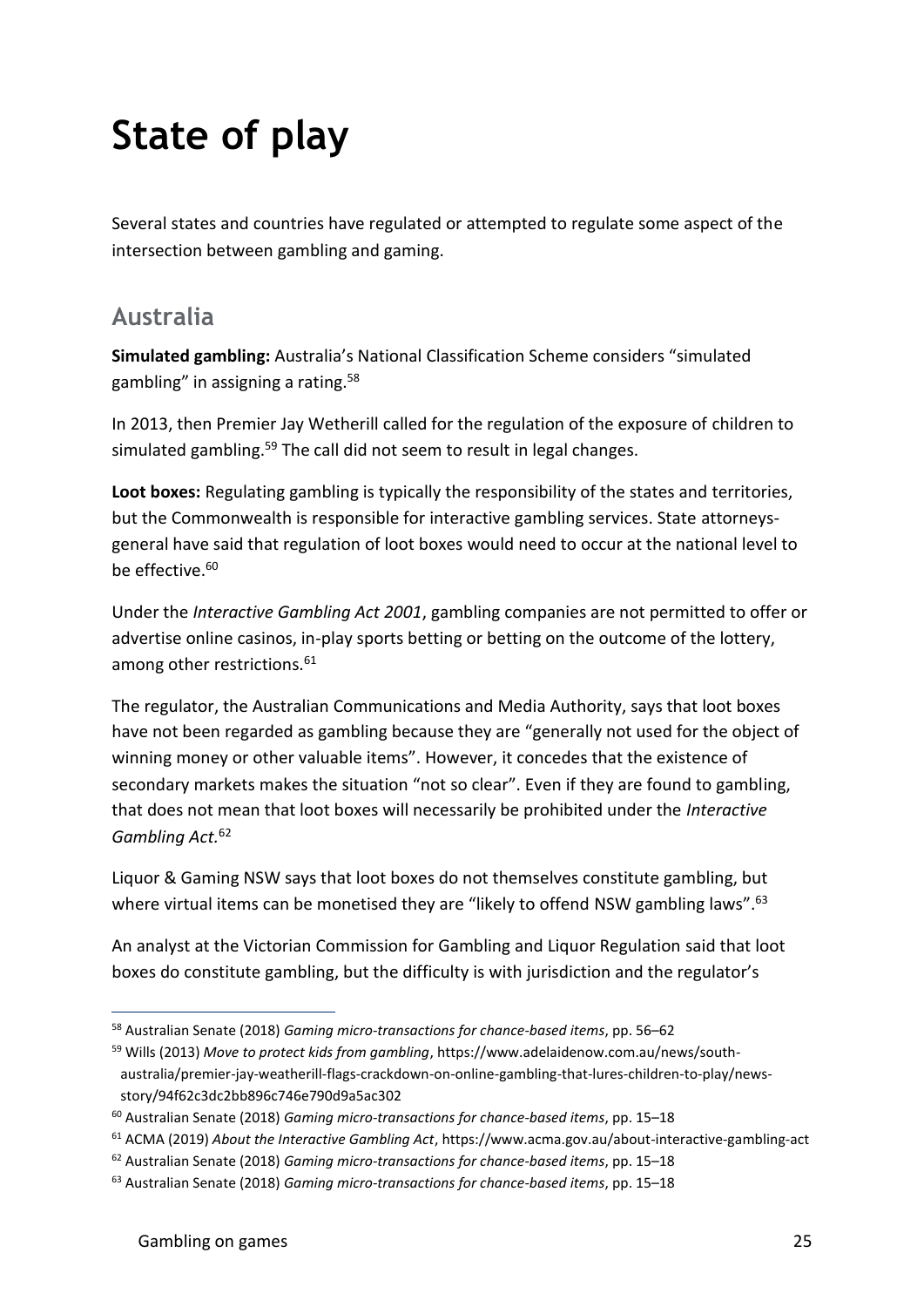## **State of play**

Several states and countries have regulated or attempted to regulate some aspect of the intersection between gambling and gaming.

#### **Australia**

**Simulated gambling:** Australia's National Classification Scheme considers "simulated gambling" in assigning a rating.<sup>58</sup>

In 2013, then Premier Jay Wetherill called for the regulation of the exposure of children to simulated gambling.<sup>59</sup> The call did not seem to result in legal changes.

**Loot boxes:** Regulating gambling is typically the responsibility of the states and territories, but the Commonwealth is responsible for interactive gambling services. State attorneysgeneral have said that regulation of loot boxes would need to occur at the national level to be effective.<sup>60</sup>

Under the *Interactive Gambling Act 2001*, gambling companies are not permitted to offer or advertise online casinos, in-play sports betting or betting on the outcome of the lottery, among other restrictions.<sup>61</sup>

The regulator, the Australian Communications and Media Authority, says that loot boxes have not been regarded as gambling because they are "generally not used for the object of winning money or other valuable items". However, it concedes that the existence of secondary markets makes the situation "not so clear". Even if they are found to gambling, that does not mean that loot boxes will necessarily be prohibited under the *Interactive Gambling Act.*<sup>62</sup>

Liquor & Gaming NSW says that loot boxes do not themselves constitute gambling, but where virtual items can be monetised they are "likely to offend NSW gambling laws".<sup>63</sup>

An analyst at the Victorian Commission for Gambling and Liquor Regulation said that loot boxes do constitute gambling, but the difficulty is with jurisdiction and the regulator's

<sup>58</sup> Australian Senate (2018) *Gaming micro-transactions for chance-based items*, pp. 56–62

<sup>59</sup> Wills (2013) *Move to protect kids from gambling*, https://www.adelaidenow.com.au/news/southaustralia/premier-jay-weatherill-flags-crackdown-on-online-gambling-that-lures-children-to-play/newsstory/94f62c3dc2bb896c746e790d9a5ac302

<sup>60</sup> Australian Senate (2018) *Gaming micro-transactions for chance-based items*, pp. 15–18

<sup>61</sup> ACMA (2019) *About the Interactive Gambling Act*, https://www.acma.gov.au/about-interactive-gambling-act

<sup>62</sup> Australian Senate (2018) *Gaming micro-transactions for chance-based items*, pp. 15–18

<sup>63</sup> Australian Senate (2018) *Gaming micro-transactions for chance-based items*, pp. 15–18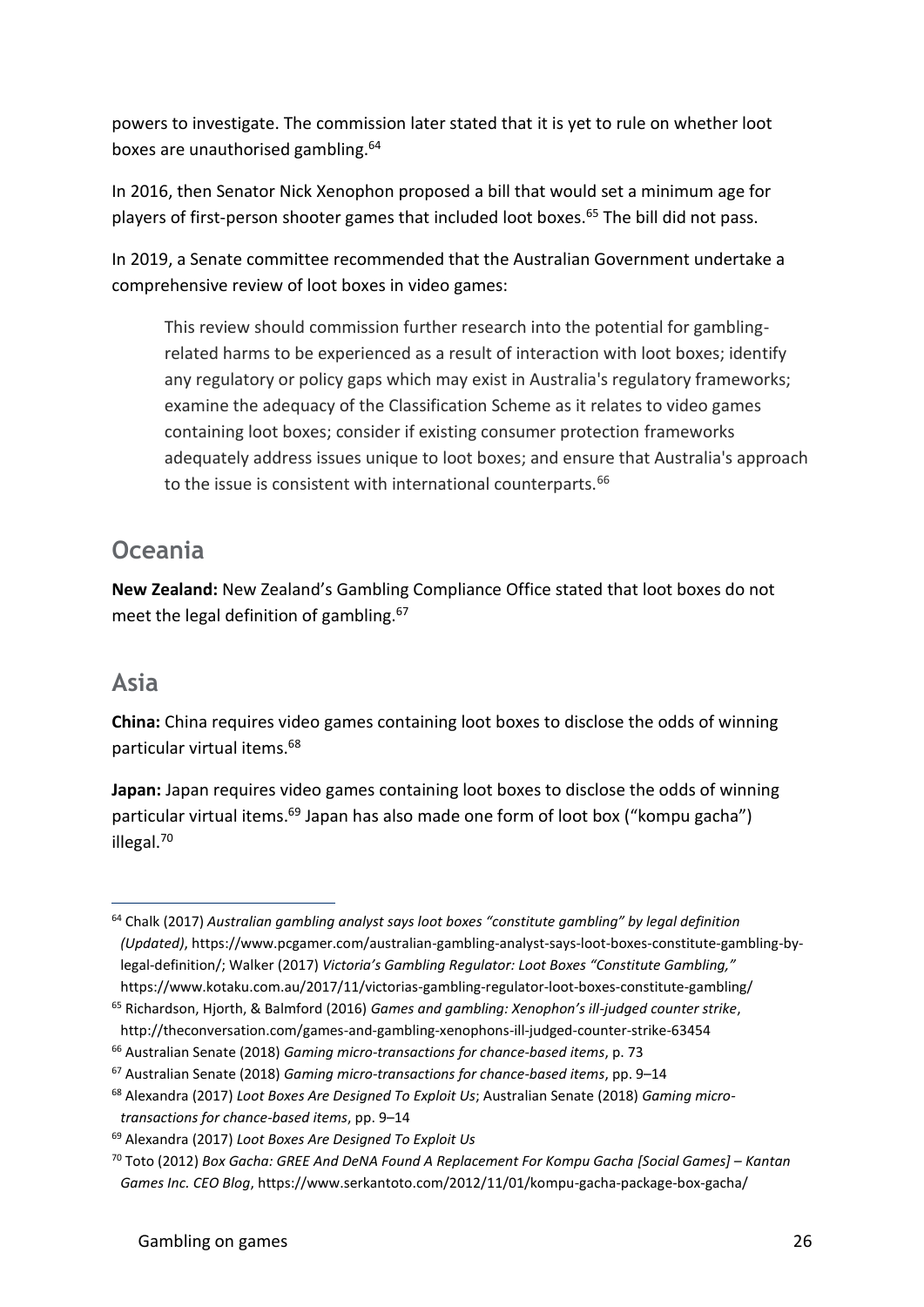powers to investigate. The commission later stated that it is yet to rule on whether loot boxes are unauthorised gambling.<sup>64</sup>

In 2016, then Senator Nick Xenophon proposed a bill that would set a minimum age for players of first-person shooter games that included loot boxes.<sup>65</sup> The bill did not pass.

In 2019, a Senate committee recommended that the Australian Government undertake a comprehensive review of loot boxes in video games:

This review should commission further research into the potential for gamblingrelated harms to be experienced as a result of interaction with loot boxes; identify any regulatory or policy gaps which may exist in Australia's regulatory frameworks; examine the adequacy of the Classification Scheme as it relates to video games containing loot boxes; consider if existing consumer protection frameworks adequately address issues unique to loot boxes; and ensure that Australia's approach to the issue is consistent with international counterparts.<sup>66</sup>

#### **Oceania**

**New Zealand:** New Zealand's Gambling Compliance Office stated that loot boxes do not meet the legal definition of gambling.<sup>67</sup>

#### **Asia**

**China:** China requires video games containing loot boxes to disclose the odds of winning particular virtual items.<sup>68</sup>

**Japan:** Japan requires video games containing loot boxes to disclose the odds of winning particular virtual items.<sup>69</sup> Japan has also made one form of loot box ("kompu gacha") illegal.<sup>70</sup>

<sup>66</sup> Australian Senate (2018) *Gaming micro-transactions for chance-based items*, p. 73

<sup>64</sup> Chalk (2017) *Australian gambling analyst says loot boxes "constitute gambling" by legal definition (Updated)*, https://www.pcgamer.com/australian-gambling-analyst-says-loot-boxes-constitute-gambling-bylegal-definition/; Walker (2017) *Victoria's Gambling Regulator: Loot Boxes "Constitute Gambling,"* https://www.kotaku.com.au/2017/11/victorias-gambling-regulator-loot-boxes-constitute-gambling/

<sup>65</sup> Richardson, Hjorth, & Balmford (2016) *Games and gambling: Xenophon's ill-judged counter strike*, http://theconversation.com/games-and-gambling-xenophons-ill-judged-counter-strike-63454

<sup>67</sup> Australian Senate (2018) *Gaming micro-transactions for chance-based items*, pp. 9–14

<sup>68</sup> Alexandra (2017) *Loot Boxes Are Designed To Exploit Us*; Australian Senate (2018) *Gaming microtransactions for chance-based items*, pp. 9–14

<sup>69</sup> Alexandra (2017) *Loot Boxes Are Designed To Exploit Us*

<sup>70</sup> Toto (2012) *Box Gacha: GREE And DeNA Found A Replacement For Kompu Gacha [Social Games] – Kantan Games Inc. CEO Blog*, https://www.serkantoto.com/2012/11/01/kompu-gacha-package-box-gacha/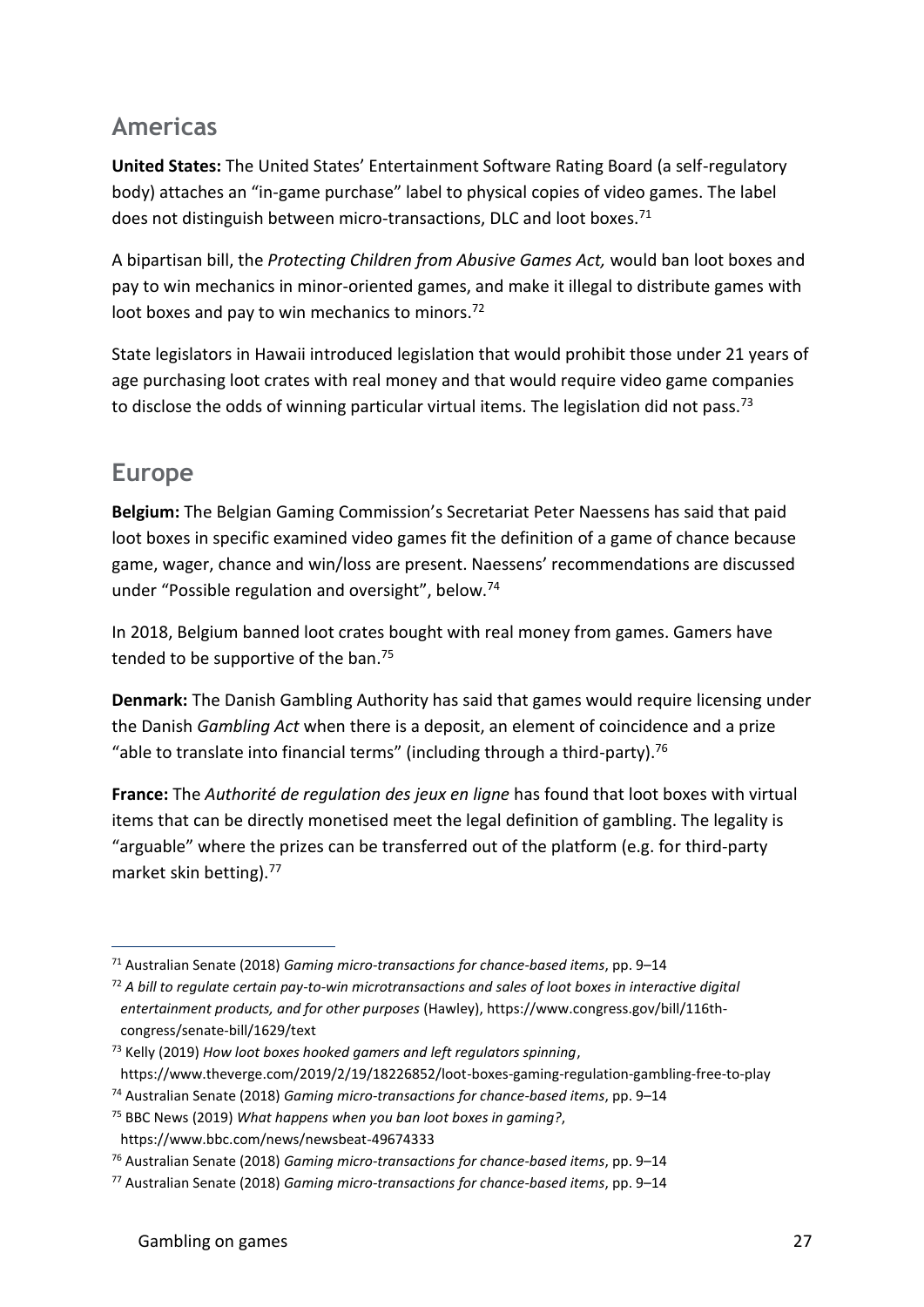#### **Americas**

**United States:** The United States' Entertainment Software Rating Board (a self-regulatory body) attaches an "in-game purchase" label to physical copies of video games. The label does not distinguish between micro-transactions, DLC and loot boxes.<sup>71</sup>

A bipartisan bill, the *Protecting Children from Abusive Games Act,* would ban loot boxes and pay to win mechanics in minor-oriented games, and make it illegal to distribute games with loot boxes and pay to win mechanics to minors.<sup>72</sup>

State legislators in Hawaii introduced legislation that would prohibit those under 21 years of age purchasing loot crates with real money and that would require video game companies to disclose the odds of winning particular virtual items. The legislation did not pass.<sup>73</sup>

#### **Europe**

**Belgium:** The Belgian Gaming Commission's Secretariat Peter Naessens has said that paid loot boxes in specific examined video games fit the definition of a game of chance because game, wager, chance and win/loss are present. Naessens' recommendations are discussed under "Possible regulation and oversight", below.<sup>74</sup>

In 2018, Belgium banned loot crates bought with real money from games. Gamers have tended to be supportive of the ban.<sup>75</sup>

**Denmark:** The Danish Gambling Authority has said that games would require licensing under the Danish *Gambling Act* when there is a deposit, an element of coincidence and a prize "able to translate into financial terms" (including through a third-party).<sup>76</sup>

**France:** The *Authorité de regulation des jeux en ligne* has found that loot boxes with virtual items that can be directly monetised meet the legal definition of gambling. The legality is "arguable" where the prizes can be transferred out of the platform (e.g. for third-party market skin betting).<sup>77</sup>

<sup>71</sup> Australian Senate (2018) *Gaming micro-transactions for chance-based items*, pp. 9–14

<sup>72</sup> *A bill to regulate certain pay-to-win microtransactions and sales of loot boxes in interactive digital entertainment products, and for other purposes* (Hawley), https://www.congress.gov/bill/116thcongress/senate-bill/1629/text

<sup>73</sup> Kelly (2019) *How loot boxes hooked gamers and left regulators spinning*, https://www.theverge.com/2019/2/19/18226852/loot-boxes-gaming-regulation-gambling-free-to-play

<sup>74</sup> Australian Senate (2018) *Gaming micro-transactions for chance-based items*, pp. 9–14

<sup>75</sup> BBC News (2019) *What happens when you ban loot boxes in gaming?*,

https://www.bbc.com/news/newsbeat-49674333

<sup>76</sup> Australian Senate (2018) *Gaming micro-transactions for chance-based items*, pp. 9–14

<sup>77</sup> Australian Senate (2018) *Gaming micro-transactions for chance-based items*, pp. 9–14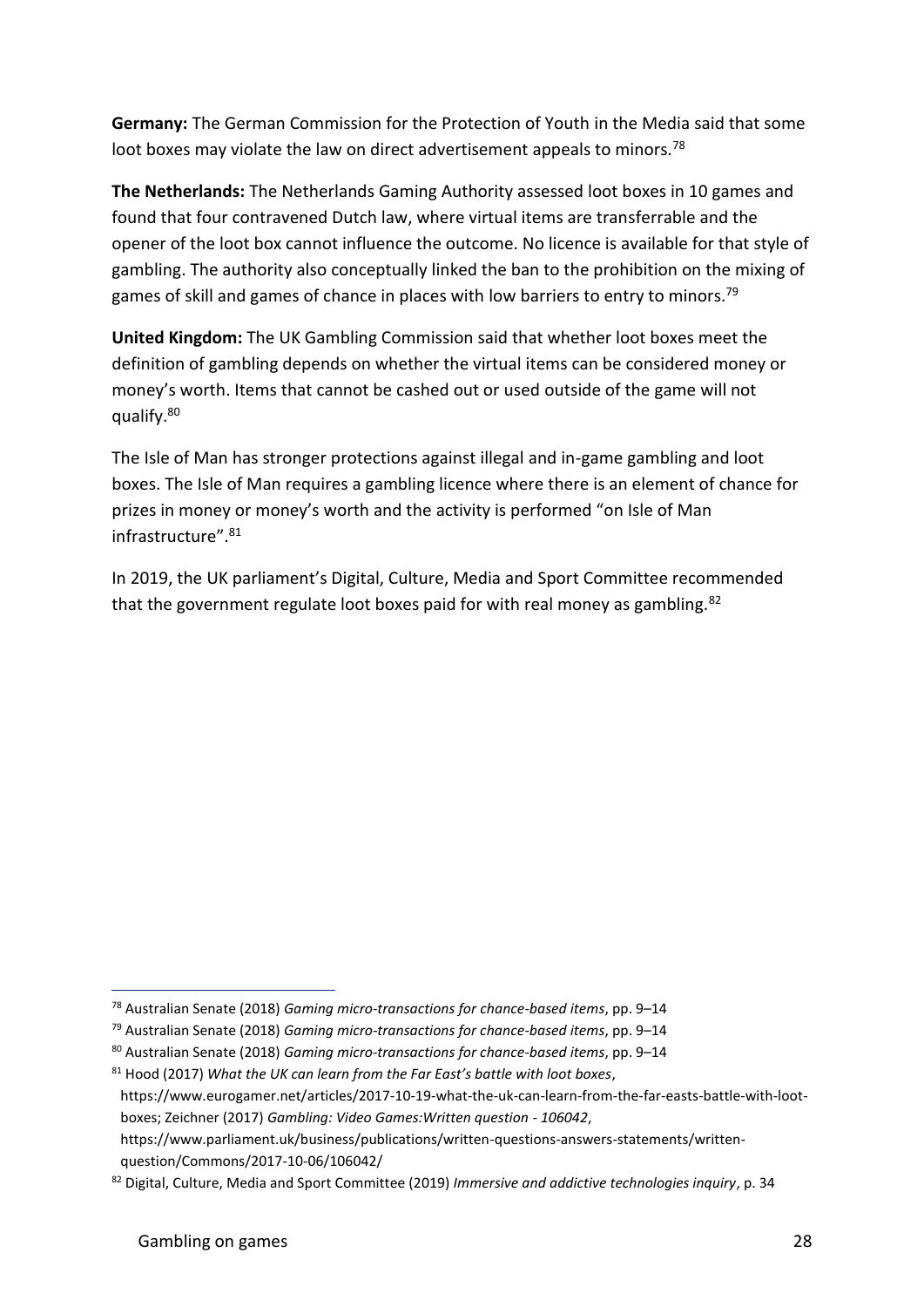**Germany:** The German Commission for the Protection of Youth in the Media said that some loot boxes may violate the law on direct advertisement appeals to minors.<sup>78</sup>

**The Netherlands:** The Netherlands Gaming Authority assessed loot boxes in 10 games and found that four contravened Dutch law, where virtual items are transferrable and the opener of the loot box cannot influence the outcome. No licence is available for that style of gambling. The authority also conceptually linked the ban to the prohibition on the mixing of games of skill and games of chance in places with low barriers to entry to minors.<sup>79</sup>

**United Kingdom:** The UK Gambling Commission said that whether loot boxes meet the definition of gambling depends on whether the virtual items can be considered money or money's worth. Items that cannot be cashed out or used outside of the game will not qualify.<sup>80</sup>

The Isle of Man has stronger protections against illegal and in-game gambling and loot boxes. The Isle of Man requires a gambling licence where there is an element of chance for prizes in money or money's worth and the activity is performed "on Isle of Man infrastructure".<sup>81</sup>

In 2019, the UK parliament's Digital, Culture, Media and Sport Committee recommended that the government regulate loot boxes paid for with real money as gambling.<sup>82</sup>

<sup>78</sup> Australian Senate (2018) *Gaming micro-transactions for chance-based items*, pp. 9–14

<sup>79</sup> Australian Senate (2018) *Gaming micro-transactions for chance-based items*, pp. 9–14

<sup>80</sup> Australian Senate (2018) *Gaming micro-transactions for chance-based items*, pp. 9–14

<sup>81</sup> Hood (2017) *What the UK can learn from the Far East's battle with loot boxes*,

https://www.eurogamer.net/articles/2017-10-19-what-the-uk-can-learn-from-the-far-easts-battle-with-lootboxes; Zeichner (2017) *Gambling: Video Games:Written question - 106042*,

https://www.parliament.uk/business/publications/written-questions-answers-statements/writtenquestion/Commons/2017-10-06/106042/

<sup>82</sup> Digital, Culture, Media and Sport Committee (2019) *Immersive and addictive technologies inquiry*, p. 34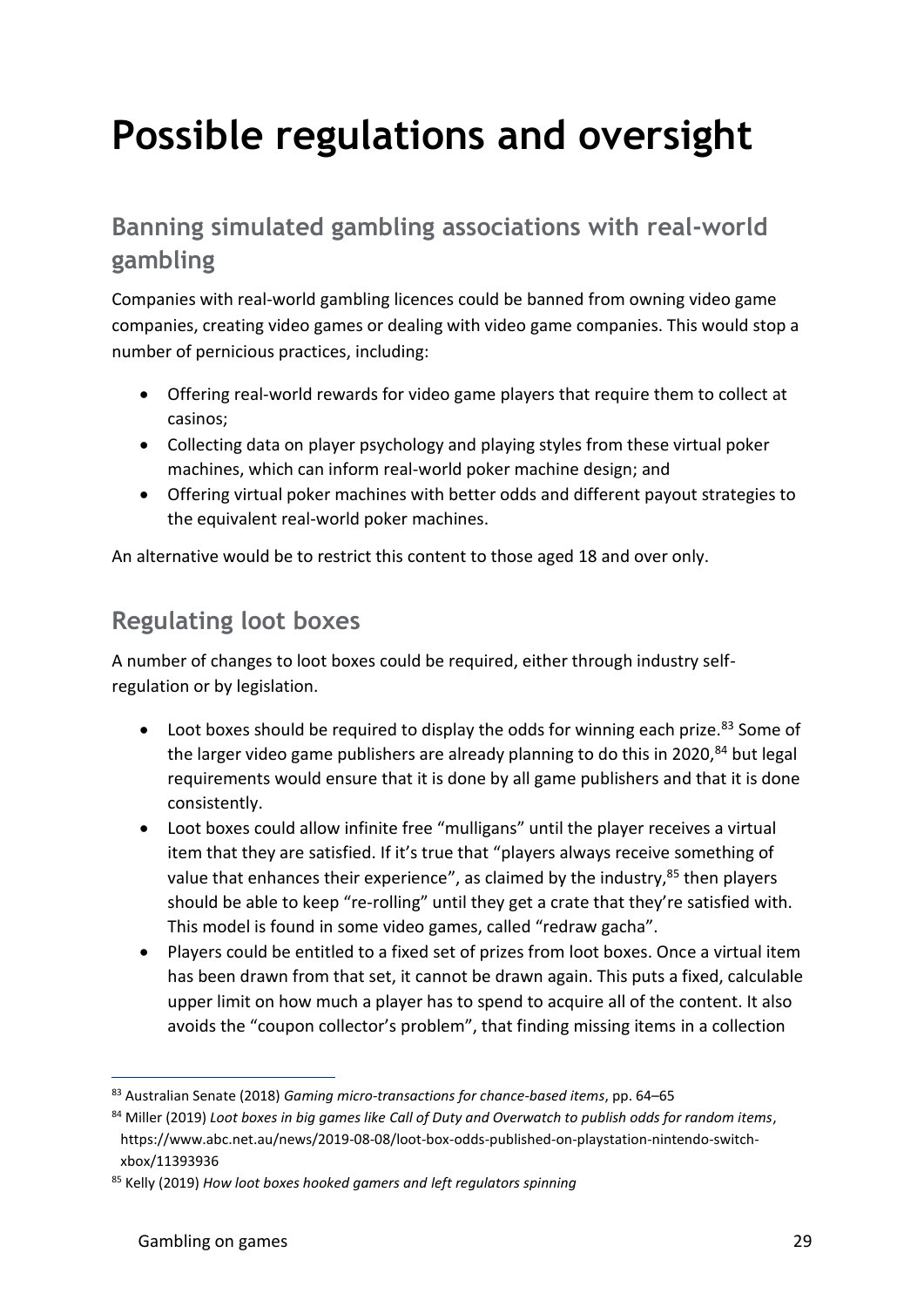## **Possible regulations and oversight**

### **Banning simulated gambling associations with real-world gambling**

Companies with real-world gambling licences could be banned from owning video game companies, creating video games or dealing with video game companies. This would stop a number of pernicious practices, including:

- Offering real-world rewards for video game players that require them to collect at casinos;
- Collecting data on player psychology and playing styles from these virtual poker machines, which can inform real-world poker machine design; and
- Offering virtual poker machines with better odds and different payout strategies to the equivalent real-world poker machines.

An alternative would be to restrict this content to those aged 18 and over only.

#### **Regulating loot boxes**

A number of changes to loot boxes could be required, either through industry selfregulation or by legislation.

- Loot boxes should be required to display the odds for winning each prize. $83$  Some of the larger video game publishers are already planning to do this in 2020, $84$  but legal requirements would ensure that it is done by all game publishers and that it is done consistently.
- Loot boxes could allow infinite free "mulligans" until the player receives a virtual item that they are satisfied. If it's true that "players always receive something of value that enhances their experience", as claimed by the industry, <sup>85</sup> then players should be able to keep "re-rolling" until they get a crate that they're satisfied with. This model is found in some video games, called "redraw gacha".
- Players could be entitled to a fixed set of prizes from loot boxes. Once a virtual item has been drawn from that set, it cannot be drawn again. This puts a fixed, calculable upper limit on how much a player has to spend to acquire all of the content. It also avoids the "coupon collector's problem", that finding missing items in a collection

<sup>83</sup> Australian Senate (2018) *Gaming micro-transactions for chance-based items*, pp. 64–65

<sup>84</sup> Miller (2019) *Loot boxes in big games like Call of Duty and Overwatch to publish odds for random items*, https://www.abc.net.au/news/2019-08-08/loot-box-odds-published-on-playstation-nintendo-switchxbox/11393936

<sup>85</sup> Kelly (2019) *How loot boxes hooked gamers and left regulators spinning*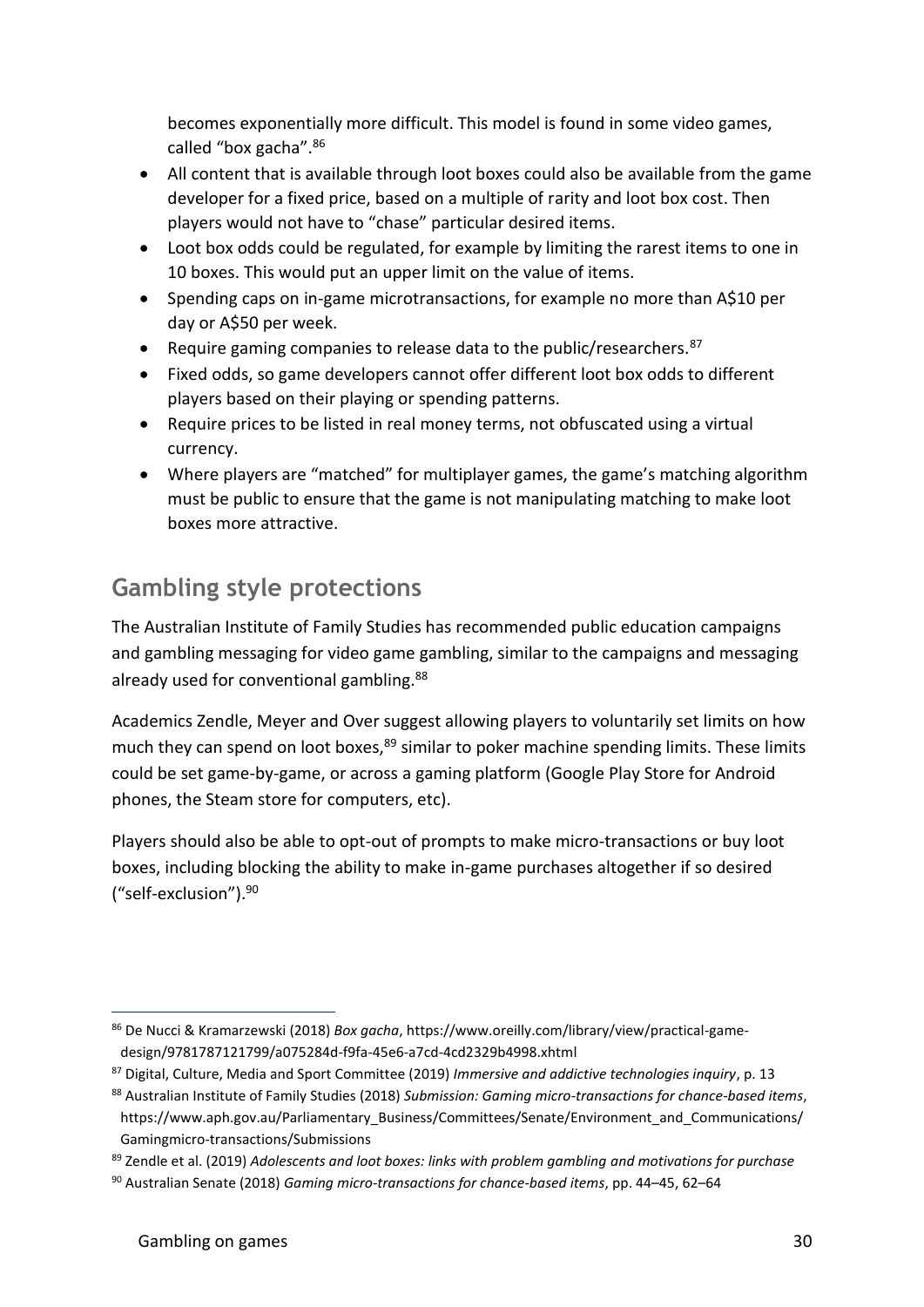becomes exponentially more difficult. This model is found in some video games, called "box gacha". 86

- All content that is available through loot boxes could also be available from the game developer for a fixed price, based on a multiple of rarity and loot box cost. Then players would not have to "chase" particular desired items.
- Loot box odds could be regulated, for example by limiting the rarest items to one in 10 boxes. This would put an upper limit on the value of items.
- Spending caps on in-game microtransactions, for example no more than A\$10 per day or A\$50 per week.
- Require gaming companies to release data to the public/researchers.  $87$
- Fixed odds, so game developers cannot offer different loot box odds to different players based on their playing or spending patterns.
- Require prices to be listed in real money terms, not obfuscated using a virtual currency.
- Where players are "matched" for multiplayer games, the game's matching algorithm must be public to ensure that the game is not manipulating matching to make loot boxes more attractive.

### **Gambling style protections**

The Australian Institute of Family Studies has recommended public education campaigns and gambling messaging for video game gambling, similar to the campaigns and messaging already used for conventional gambling.<sup>88</sup>

Academics Zendle, Meyer and Over suggest allowing players to voluntarily set limits on how much they can spend on loot boxes,<sup>89</sup> similar to poker machine spending limits. These limits could be set game-by-game, or across a gaming platform (Google Play Store for Android phones, the Steam store for computers, etc).

Players should also be able to opt-out of prompts to make micro-transactions or buy loot boxes, including blocking the ability to make in-game purchases altogether if so desired ("self-exclusion").<sup>90</sup>

<sup>86</sup> De Nucci & Kramarzewski (2018) *Box gacha*, https://www.oreilly.com/library/view/practical-gamedesign/9781787121799/a075284d-f9fa-45e6-a7cd-4cd2329b4998.xhtml

<sup>87</sup> Digital, Culture, Media and Sport Committee (2019) *Immersive and addictive technologies inquiry*, p. 13

<sup>88</sup> Australian Institute of Family Studies (2018) *Submission: Gaming micro-transactions for chance-based items*, https://www.aph.gov.au/Parliamentary\_Business/Committees/Senate/Environment\_and\_Communications/ Gamingmicro-transactions/Submissions

<sup>89</sup> Zendle et al. (2019) *Adolescents and loot boxes: links with problem gambling and motivations for purchase*

<sup>90</sup> Australian Senate (2018) *Gaming micro-transactions for chance-based items*, pp. 44–45, 62–64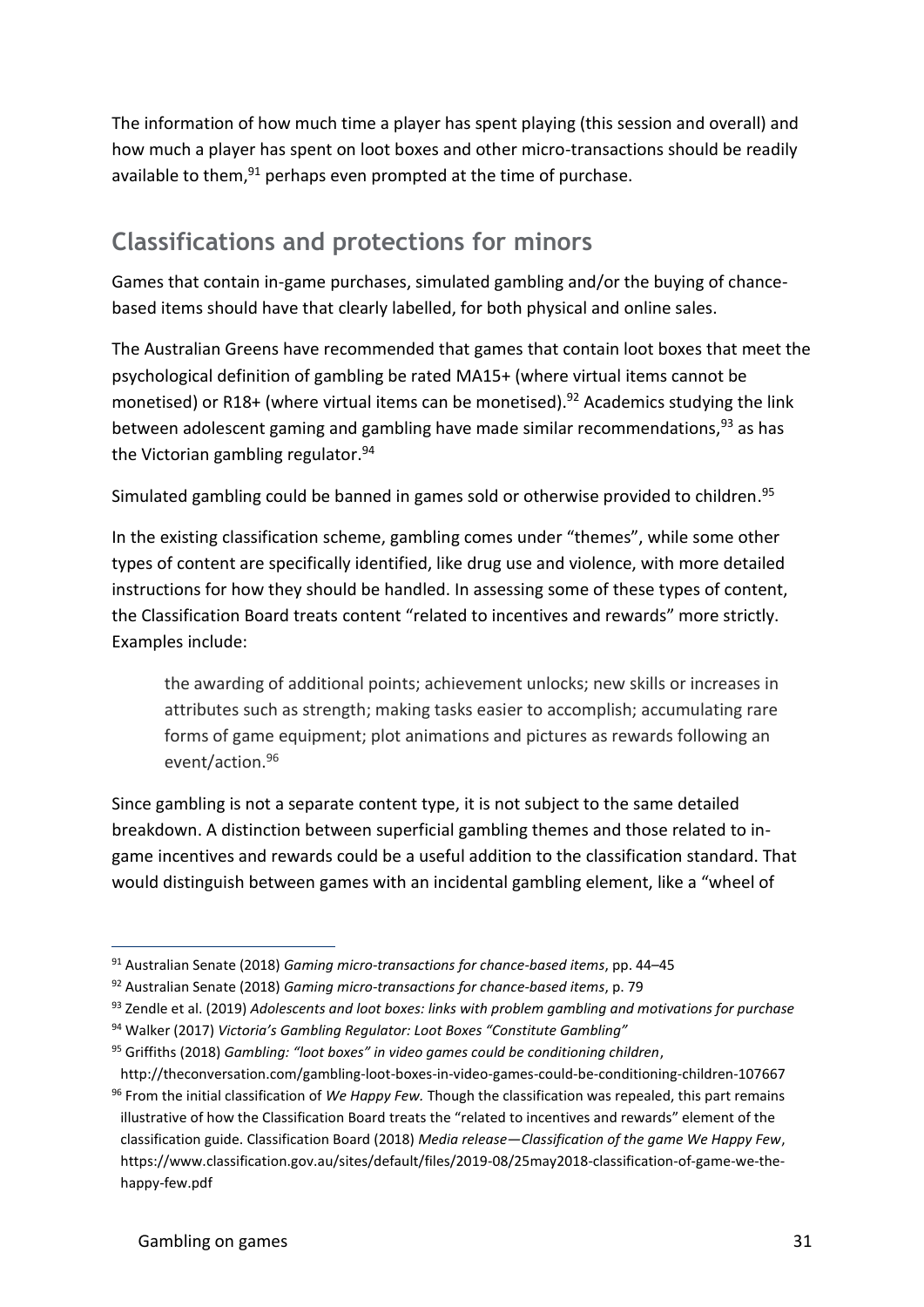The information of how much time a player has spent playing (this session and overall) and how much a player has spent on loot boxes and other micro-transactions should be readily available to them, $91$  perhaps even prompted at the time of purchase.

#### **Classifications and protections for minors**

Games that contain in-game purchases, simulated gambling and/or the buying of chancebased items should have that clearly labelled, for both physical and online sales.

The Australian Greens have recommended that games that contain loot boxes that meet the psychological definition of gambling be rated MA15+ (where virtual items cannot be monetised) or R18+ (where virtual items can be monetised).<sup>92</sup> Academics studying the link between adolescent gaming and gambling have made similar recommendations, <sup>93</sup> as has the Victorian gambling regulator.  $94$ 

Simulated gambling could be banned in games sold or otherwise provided to children. 95

In the existing classification scheme, gambling comes under "themes", while some other types of content are specifically identified, like drug use and violence, with more detailed instructions for how they should be handled. In assessing some of these types of content, the Classification Board treats content "related to incentives and rewards" more strictly. Examples include:

the awarding of additional points; achievement unlocks; new skills or increases in attributes such as strength; making tasks easier to accomplish; accumulating rare forms of game equipment; plot animations and pictures as rewards following an event/action.<sup>96</sup>

Since gambling is not a separate content type, it is not subject to the same detailed breakdown. A distinction between superficial gambling themes and those related to ingame incentives and rewards could be a useful addition to the classification standard. That would distinguish between games with an incidental gambling element, like a "wheel of

<sup>91</sup> Australian Senate (2018) *Gaming micro-transactions for chance-based items*, pp. 44–45

<sup>92</sup> Australian Senate (2018) *Gaming micro-transactions for chance-based items*, p. 79

<sup>93</sup> Zendle et al. (2019) *Adolescents and loot boxes: links with problem gambling and motivations for purchase*

<sup>94</sup> Walker (2017) *Victoria's Gambling Regulator: Loot Boxes "Constitute Gambling"*

<sup>95</sup> Griffiths (2018) *Gambling: "loot boxes" in video games could be conditioning children*, http://theconversation.com/gambling-loot-boxes-in-video-games-could-be-conditioning-children-107667

<sup>96</sup> From the initial classification of *We Happy Few.* Though the classification was repealed, this part remains illustrative of how the Classification Board treats the "related to incentives and rewards" element of the classification guide. Classification Board (2018) *Media release—Classification of the game We Happy Few*, https://www.classification.gov.au/sites/default/files/2019-08/25may2018-classification-of-game-we-thehappy-few.pdf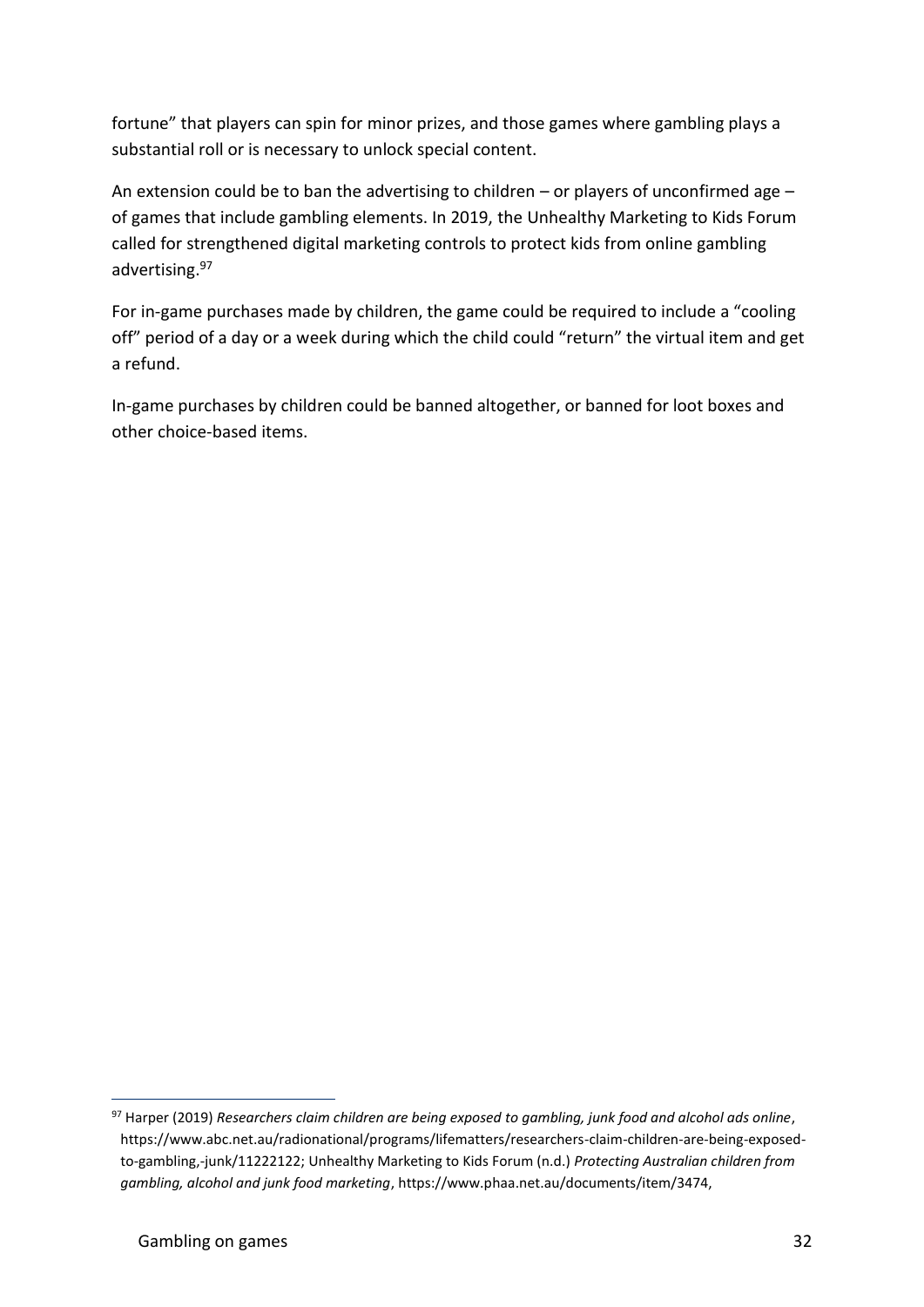fortune" that players can spin for minor prizes, and those games where gambling plays a substantial roll or is necessary to unlock special content.

An extension could be to ban the advertising to children – or players of unconfirmed age – of games that include gambling elements. In 2019, the Unhealthy Marketing to Kids Forum called for strengthened digital marketing controls to protect kids from online gambling advertising.<sup>97</sup>

For in-game purchases made by children, the game could be required to include a "cooling off" period of a day or a week during which the child could "return" the virtual item and get a refund.

In-game purchases by children could be banned altogether, or banned for loot boxes and other choice-based items.

<sup>97</sup> Harper (2019) *Researchers claim children are being exposed to gambling, junk food and alcohol ads online*, https://www.abc.net.au/radionational/programs/lifematters/researchers-claim-children-are-being-exposedto-gambling,-junk/11222122; Unhealthy Marketing to Kids Forum (n.d.) *Protecting Australian children from gambling, alcohol and junk food marketing*, https://www.phaa.net.au/documents/item/3474,